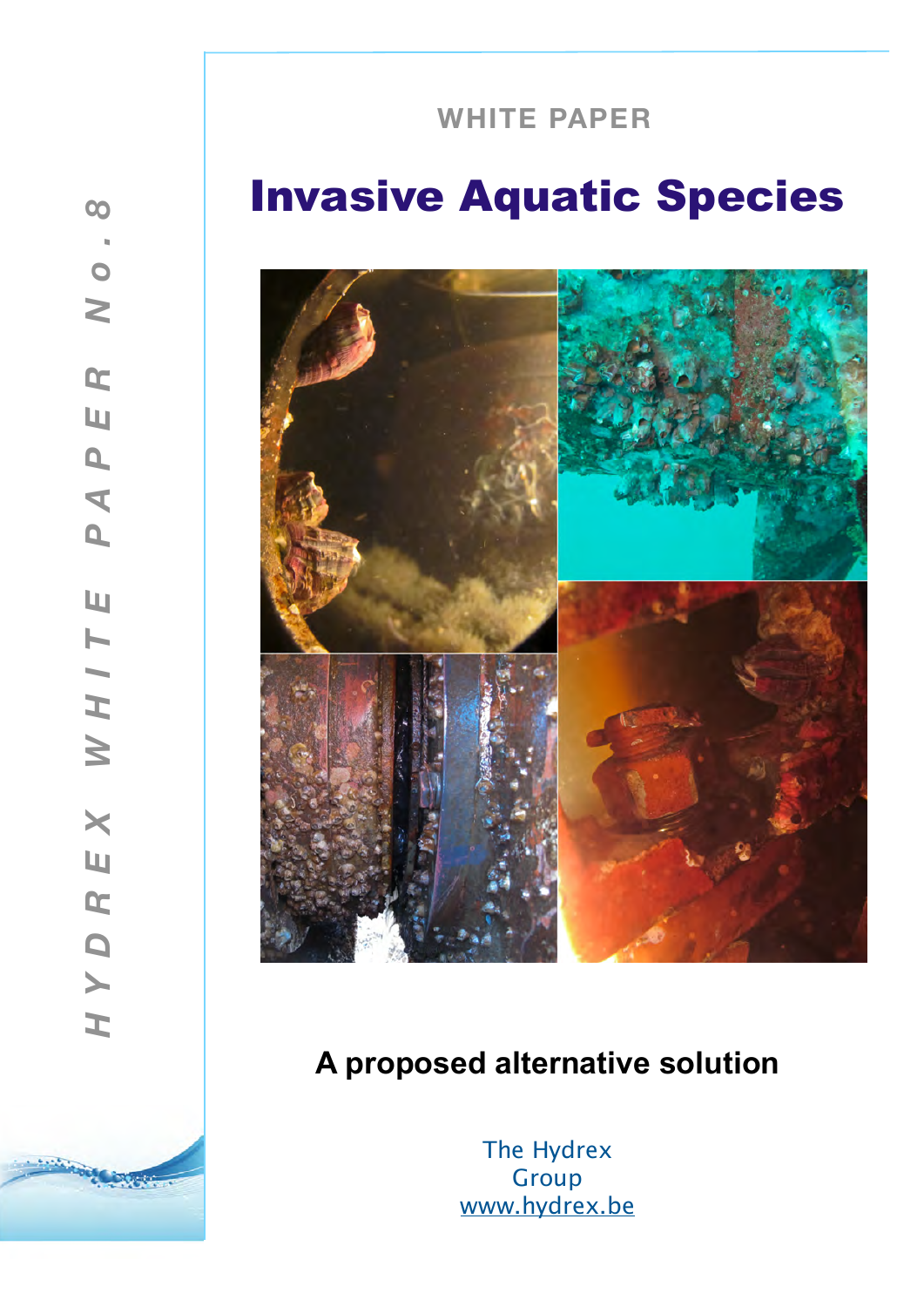# **WHITE PAPER**

**! !**

# Invasive Aquatic Species



# **A proposed alternative solution**

The Hydrex **Group** [www.hydrex.be](http://www.hydrex.be)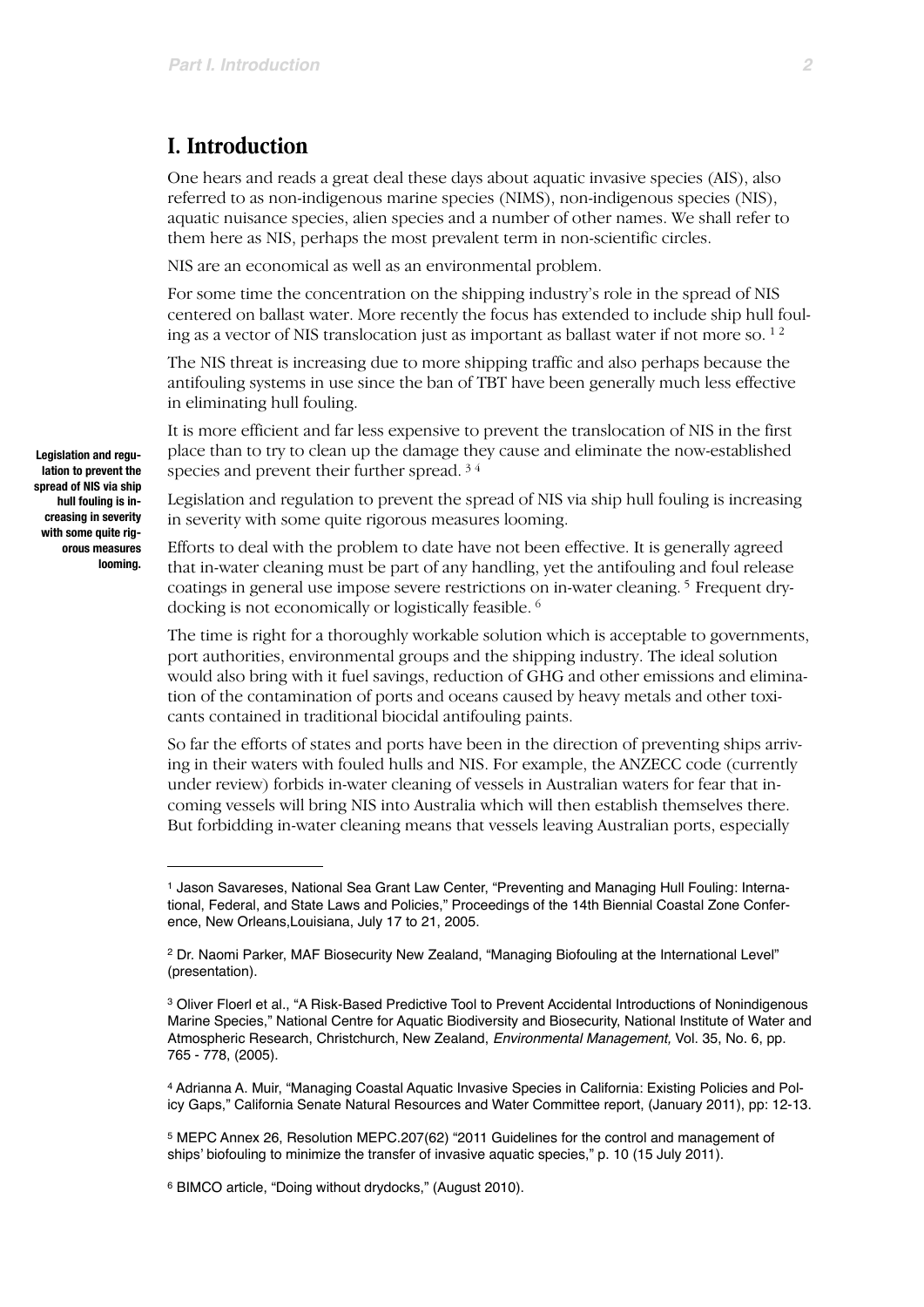### **I. Introduction**

One hears and reads a great deal these days about aquatic invasive species (AIS), also referred to as non-indigenous marine species (NIMS), non-indigenous species (NIS), aquatic nuisance species, alien species and a number of other names. We shall refer to them here as NIS, perhaps the most prevalent term in non-scientific circles.

NIS are an economical as well as an environmental problem.

For some time the concentration on the shipping industry's role in the spread of NIS centered on ballast water. More recently the focus has extended to include ship hull fouling as a vector of NIS translocation just as important as ballast water if not more so.  $1^2$  $1^2$ 

The NIS threat is increasing due to more shipping traffic and also perhaps because the antifouling systems in use since the ban of TBT have been generally much less effective in eliminating hull fouling.

It is more efficient and far less expensive to prevent the translocation of NIS in the first place than to try to clean up the damage they cause and eliminate the now-established species and prevent their further spread. [3](#page-1-2) [4](#page-1-3)

Legislation and regulation to prevent the spread of NIS via ship hull fouling is increasing in severity with some quite rigorous measures looming.

Efforts to deal with the problem to date have not been effective. It is generally agreed that in-water cleaning must be part of any handling, yet the antifouling and foul release coatings in general use impose severe restrictions on in-water cleaning. [5](#page-1-4) Frequent drydocking is not economically or logistically feasible. [6](#page-1-5)

The time is right for a thoroughly workable solution which is acceptable to governments, port authorities, environmental groups and the shipping industry. The ideal solution would also bring with it fuel savings, reduction of GHG and other emissions and elimination of the contamination of ports and oceans caused by heavy metals and other toxicants contained in traditional biocidal antifouling paints.

So far the efforts of states and ports have been in the direction of preventing ships arriving in their waters with fouled hulls and NIS. For example, the ANZECC code (currently under review) forbids in-water cleaning of vessels in Australian waters for fear that incoming vessels will bring NIS into Australia which will then establish themselves there. But forbidding in-water cleaning means that vessels leaving Australian ports, especially

**Legislation and regulation to prevent the spread of NIS via ship hull fouling is increasing in severity with some quite rigorous measures looming.**

<span id="page-1-0"></span><sup>1</sup> Jason Savareses, National Sea Grant Law Center, "Preventing and Managing Hull Fouling: International, Federal, and State Laws and Policies," Proceedings of the 14th Biennial Coastal Zone Conference, New Orleans,Louisiana, July 17 to 21, 2005.

<span id="page-1-1"></span><sup>2</sup> Dr. Naomi Parker, MAF Biosecurity New Zealand, "Managing Biofouling at the International Level" (presentation).

<span id="page-1-2"></span><sup>3</sup> Oliver Floerl et al., "A Risk-Based Predictive Tool to Prevent Accidental Introductions of Nonindigenous Marine Species," National Centre for Aquatic Biodiversity and Biosecurity, National Institute of Water and Atmospheric Research, Christchurch, New Zealand, *Environmental Management,* Vol. 35, No. 6, pp. 765 - 778, (2005).

<span id="page-1-3"></span><sup>4</sup> Adrianna A. Muir, "Managing Coastal Aquatic Invasive Species in California: Existing Policies and Policy Gaps," California Senate Natural Resources and Water Committee report, (January 2011), pp: 12-13.

<span id="page-1-4"></span><sup>5</sup> MEPC Annex 26, Resolution MEPC.207(62) "2011 Guidelines for the control and management of ships' biofouling to minimize the transfer of invasive aquatic species," p. 10 (15 July 2011).

<span id="page-1-5"></span><sup>6</sup> BIMCO article, "Doing without drydocks," (August 2010).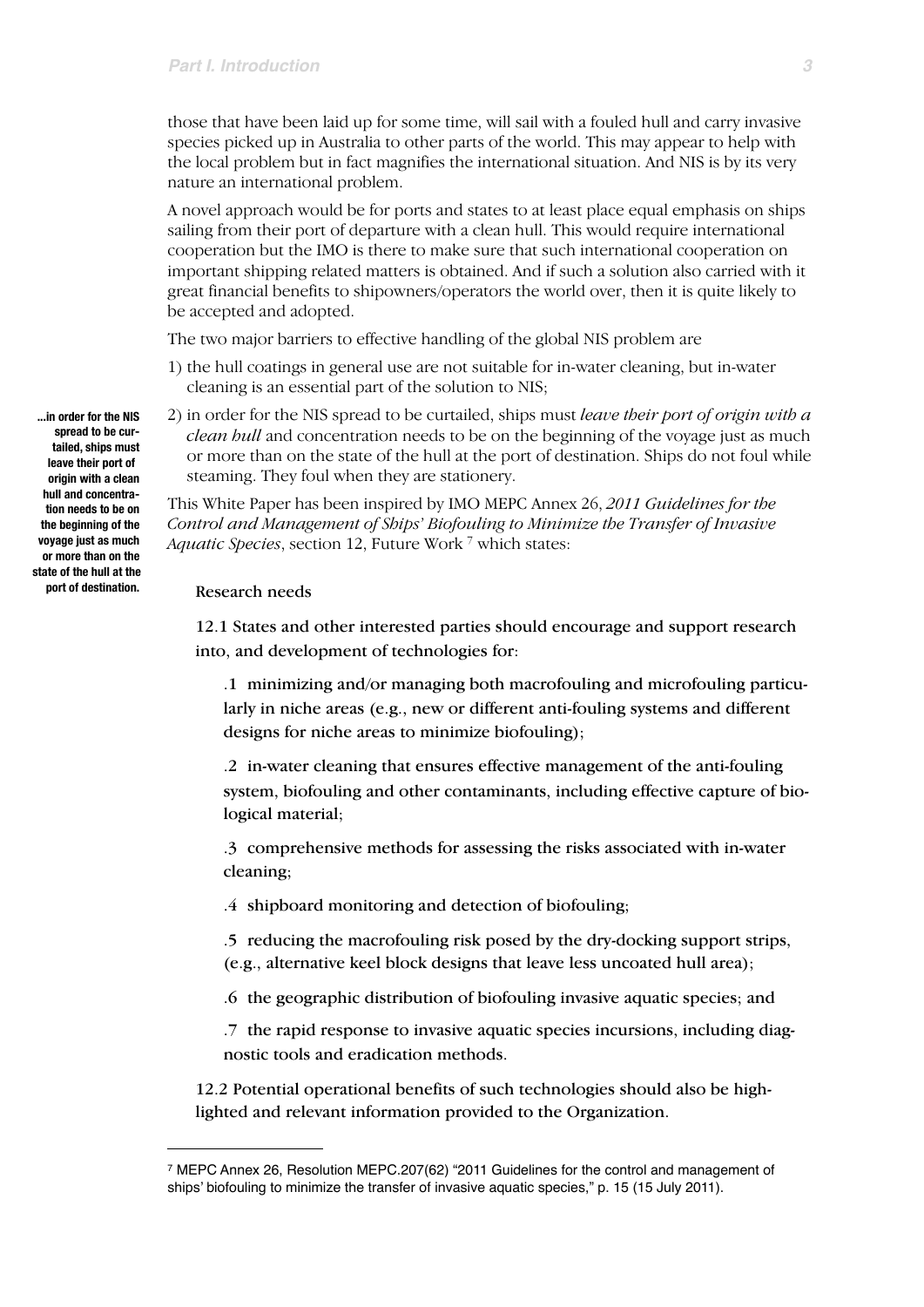those that have been laid up for some time, will sail with a fouled hull and carry invasive species picked up in Australia to other parts of the world. This may appear to help with the local problem but in fact magnifies the international situation. And NIS is by its very nature an international problem.

A novel approach would be for ports and states to at least place equal emphasis on ships sailing from their port of departure with a clean hull. This would require international cooperation but the IMO is there to make sure that such international cooperation on important shipping related matters is obtained. And if such a solution also carried with it great financial benefits to shipowners/operators the world over, then it is quite likely to be accepted and adopted.

The two major barriers to effective handling of the global NIS problem are

- 1) the hull coatings in general use are not suitable for in-water cleaning, but in-water cleaning is an essential part of the solution to NIS;
- 2) in order for the NIS spread to be curtailed, ships must *leave their port of origin with a clean hull* and concentration needs to be on the beginning of the voyage just as much or more than on the state of the hull at the port of destination. Ships do not foul while steaming. They foul when they are stationery.

This White Paper has been inspired by IMO MEPC Annex 26, *2011 Guidelines for the Control and Management of Ships' Biofouling to Minimize the Transfer of Invasive Aquatic Species*, section 12, Future Work [7](#page-2-0) which states:

#### Research needs

12.1 States and other interested parties should encourage and support research into, and development of technologies for:

.1 minimizing and/or managing both macrofouling and microfouling particularly in niche areas (e.g., new or different anti-fouling systems and different designs for niche areas to minimize biofouling);

.2 in-water cleaning that ensures effective management of the anti-fouling system, biofouling and other contaminants, including effective capture of biological material;

.3 comprehensive methods for assessing the risks associated with in-water cleaning;

.4 shipboard monitoring and detection of biofouling;

.5 reducing the macrofouling risk posed by the dry-docking support strips, (e.g., alternative keel block designs that leave less uncoated hull area);

.6 the geographic distribution of biofouling invasive aquatic species; and

.7 the rapid response to invasive aquatic species incursions, including diagnostic tools and eradication methods.

12.2 Potential operational benefits of such technologies should also be highlighted and relevant information provided to the Organization.

**...in order for the NIS spread to be curtailed, ships must leave their port of origin with a clean hull and concentration needs to be on the beginning of the voyage just as much or more than on the state of the hull at the port of destination.**

<span id="page-2-0"></span><sup>7</sup> MEPC Annex 26, Resolution MEPC.207(62) "2011 Guidelines for the control and management of ships' biofouling to minimize the transfer of invasive aquatic species," p. 15 (15 July 2011).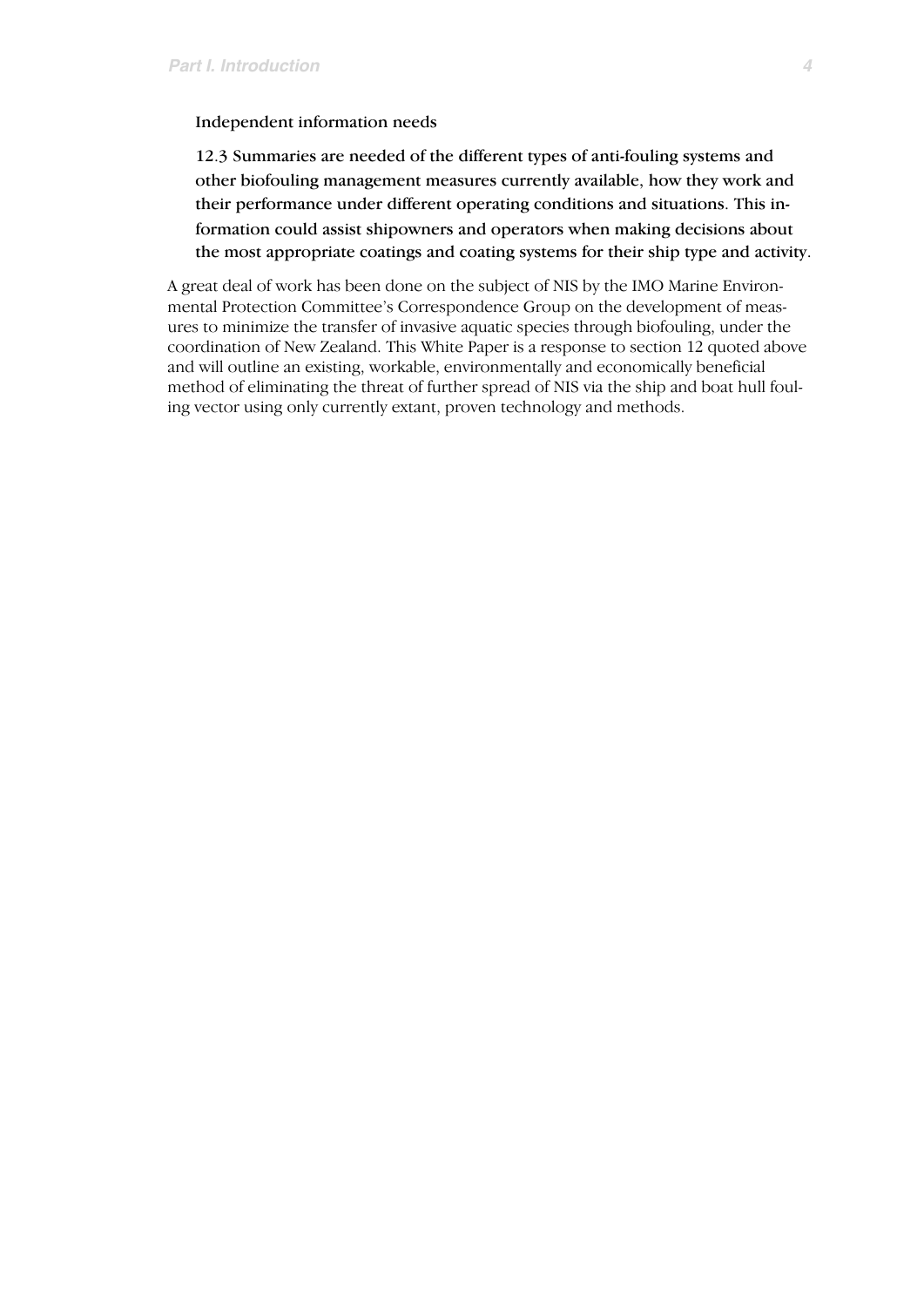Independent information needs

12.3 Summaries are needed of the different types of anti-fouling systems and other biofouling management measures currently available, how they work and their performance under different operating conditions and situations. This information could assist shipowners and operators when making decisions about the most appropriate coatings and coating systems for their ship type and activity.

A great deal of work has been done on the subject of NIS by the IMO Marine Environmental Protection Committee's Correspondence Group on the development of measures to minimize the transfer of invasive aquatic species through biofouling, under the coordination of New Zealand. This White Paper is a response to section 12 quoted above and will outline an existing, workable, environmentally and economically beneficial method of eliminating the threat of further spread of NIS via the ship and boat hull fouling vector using only currently extant, proven technology and methods.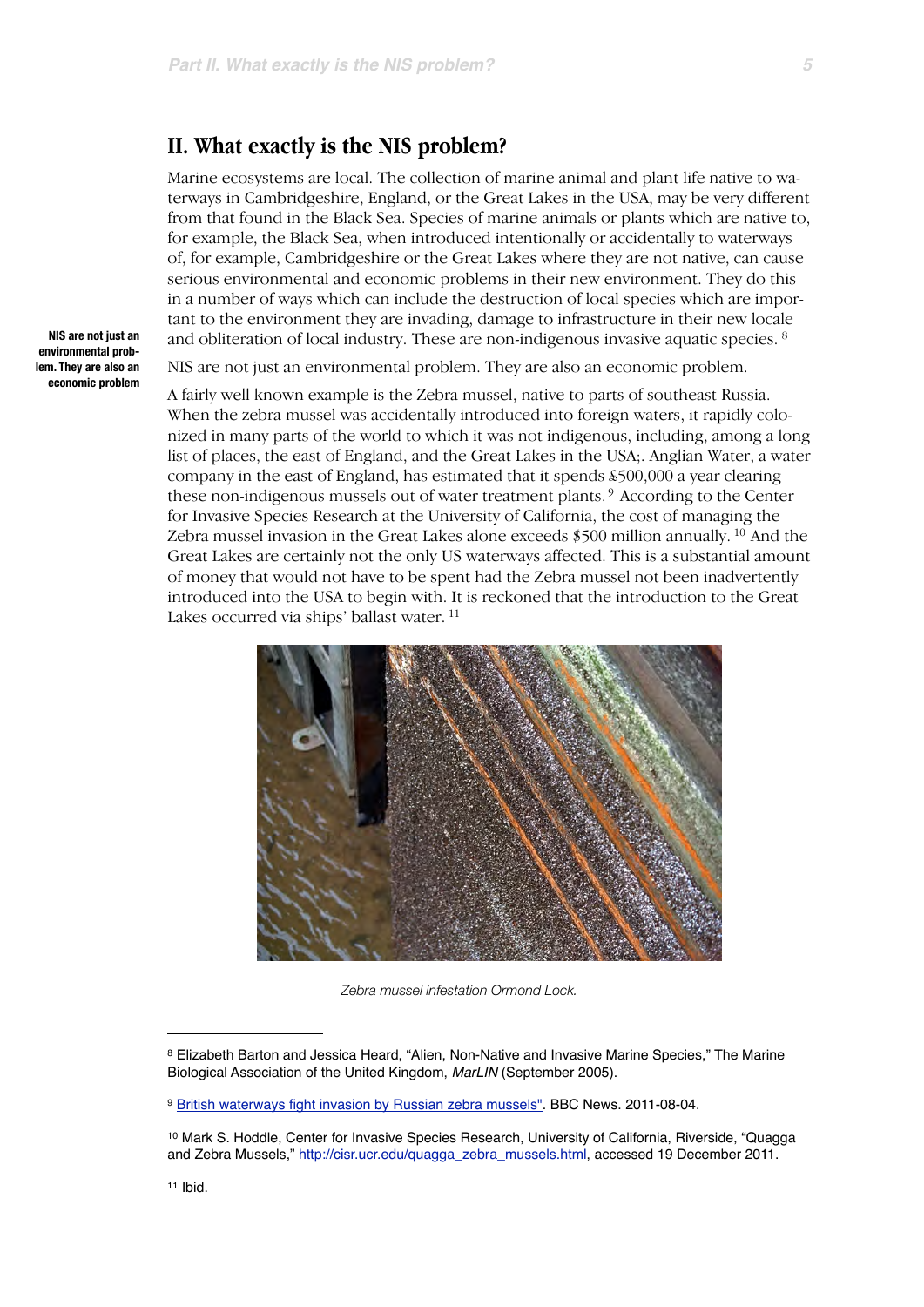#### **II. What exactly is the NIS problem?**

Marine ecosystems are local. The collection of marine animal and plant life native to waterways in Cambridgeshire, England, or the Great Lakes in the USA, may be very different from that found in the Black Sea. Species of marine animals or plants which are native to, for example, the Black Sea, when introduced intentionally or accidentally to waterways of, for example, Cambridgeshire or the Great Lakes where they are not native, can cause serious environmental and economic problems in their new environment. They do this in a number of ways which can include the destruction of local species which are important to the environment they are invading, damage to infrastructure in their new locale and obliteration of local industry. These are non-indigenous invasive aquatic species. [8](#page-4-0)

NIS are not just an environmental problem. They are also an economic problem.

A fairly well known example is the Zebra mussel, native to parts of southeast Russia. When the zebra mussel was accidentally introduced into foreign waters, it rapidly colonized in many parts of the world to which it was not indigenous, including, among a long list of places, the east of England, and the Great Lakes in the USA;. Anglian Water, a water company in the east of England, has estimated that it spends £500,000 a year clearing these non-indigenous mussels out of water treatment plants. [9](#page-4-1) According to the Center for Invasive Species Research at the University of California, the cost of managing the Zebra mussel invasion in the Great Lakes alone exceeds \$500 million annually. [10](#page-4-2) And the Great Lakes are certainly not the only US waterways affected. This is a substantial amount of money that would not have to be spent had the Zebra mussel not been inadvertently introduced into the USA to begin with. It is reckoned that the introduction to the Great Lakes occurred via ships' ballast water. [11](#page-4-3)



*Zebra mussel infestation Ormond Lock.*

**NIS are not just an environmental problem. They are also an economic problem**

<span id="page-4-0"></span><sup>8</sup> Elizabeth Barton and Jessica Heard, "Alien, Non-Native and Invasive Marine Species," The Marine Biological Association of the United Kingdom, *MarLIN* (September 2005).

<span id="page-4-1"></span><sup>9</sup> [British waterways fight invasion by Russian zebra mussels".](http://www.bbc.co.uk/news/science-environment-14398995) BBC News. 2011-08-04.

<span id="page-4-3"></span><span id="page-4-2"></span><sup>10</sup> Mark S. Hoddle, Center for Invasive Species Research, University of California, Riverside, "Quagga and Zebra Mussels," [http://cisr.ucr.edu/quagga\\_zebra\\_mussels.html](http://cisr.ucr.edu/quagga_zebra_mussels.html), accessed 19 December 2011.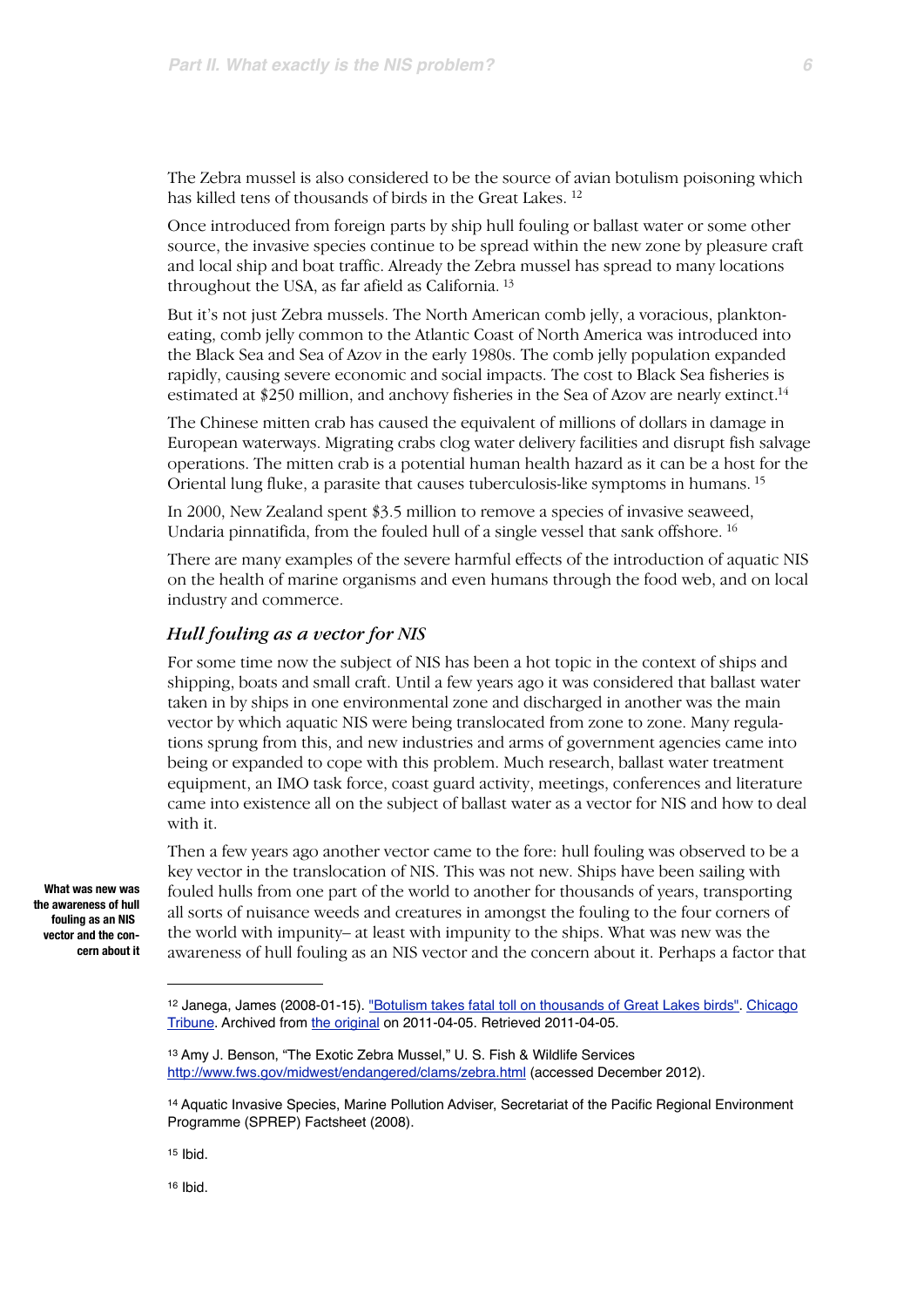The Zebra mussel is also considered to be the source of avian botulism poisoning which has killed tens of thousands of birds in the Great Lakes. [12](#page-5-0)

Once introduced from foreign parts by ship hull fouling or ballast water or some other source, the invasive species continue to be spread within the new zone by pleasure craft and local ship and boat traffic. Already the Zebra mussel has spread to many locations throughout the USA, as far afield as California. [13](#page-5-1)

But it's not just Zebra mussels. The North American comb jelly, a voracious, planktoneating, comb jelly common to the Atlantic Coast of North America was introduced into the Black Sea and Sea of Azov in the early 1980s. The comb jelly population expanded rapidly, causing severe economic and social impacts. The cost to Black Sea fisheries is estimated at \$250 million, and anchovy fisheries in the Sea of Azov are nearly extinct.<sup>14</sup>

The Chinese mitten crab has caused the equivalent of millions of dollars in damage in European waterways. Migrating crabs clog water delivery facilities and disrupt fish salvage operations. The mitten crab is a potential human health hazard as it can be a host for the Oriental lung fluke, a parasite that causes tuberculosis-like symptoms in humans. [15](#page-5-3)

In 2000, New Zealand spent \$3.5 million to remove a species of invasive seaweed, Undaria pinnatifida, from the fouled hull of a single vessel that sank offshore. [16](#page-5-4)

There are many examples of the severe harmful effects of the introduction of aquatic NIS on the health of marine organisms and even humans through the food web, and on local industry and commerce.

#### *Hull fouling as a vector for NIS*

For some time now the subject of NIS has been a hot topic in the context of ships and shipping, boats and small craft. Until a few years ago it was considered that ballast water taken in by ships in one environmental zone and discharged in another was the main vector by which aquatic NIS were being translocated from zone to zone. Many regulations sprung from this, and new industries and arms of government agencies came into being or expanded to cope with this problem. Much research, ballast water treatment equipment, an IMO task force, coast guard activity, meetings, conferences and literature came into existence all on the subject of ballast water as a vector for NIS and how to deal with it.

**What was new was the awareness of hull fouling as an NIS vector and the concern about it**

Then a few years ago another vector came to the fore: hull fouling was observed to be a key vector in the translocation of NIS. This was not new. Ships have been sailing with fouled hulls from one part of the world to another for thousands of years, transporting all sorts of nuisance weeds and creatures in amongst the fouling to the four corners of the world with impunity– at least with impunity to the ships. What was new was the awareness of hull fouling as an NIS vector and the concern about it. Perhaps a factor that

<span id="page-5-4"></span>16 Ibid.

<span id="page-5-0"></span><sup>12</sup> Janega, James (2008-01-15). ["Botulism takes fatal toll on thousands of Great Lakes birds"](http://www.webcitation.org/5xiuS7cmi). [Chicago](http://en.wikipedia.org/wiki/Chicago_Tribune)  [Tribune](http://en.wikipedia.org/wiki/Chicago_Tribune). Archived from [the original](http://articles.chicagotribune.com/2008-01-15/news/0801150030_1_lake-michigan-zebra-mussels-dead-birds) on 2011-04-05. Retrieved 2011-04-05.

<span id="page-5-1"></span><sup>13</sup> Amy J. Benson, "The Exotic Zebra Mussel," U. S. Fish & Wildlife Services <http://www.fws.gov/midwest/endangered/clams/zebra.html> (accessed December 2012).

<span id="page-5-2"></span><sup>14</sup> Aquatic Invasive Species, Marine Pollution Adviser, Secretariat of the Pacific Regional Environment Programme (SPREP) Factsheet (2008).

<span id="page-5-3"></span><sup>15</sup> Ibid.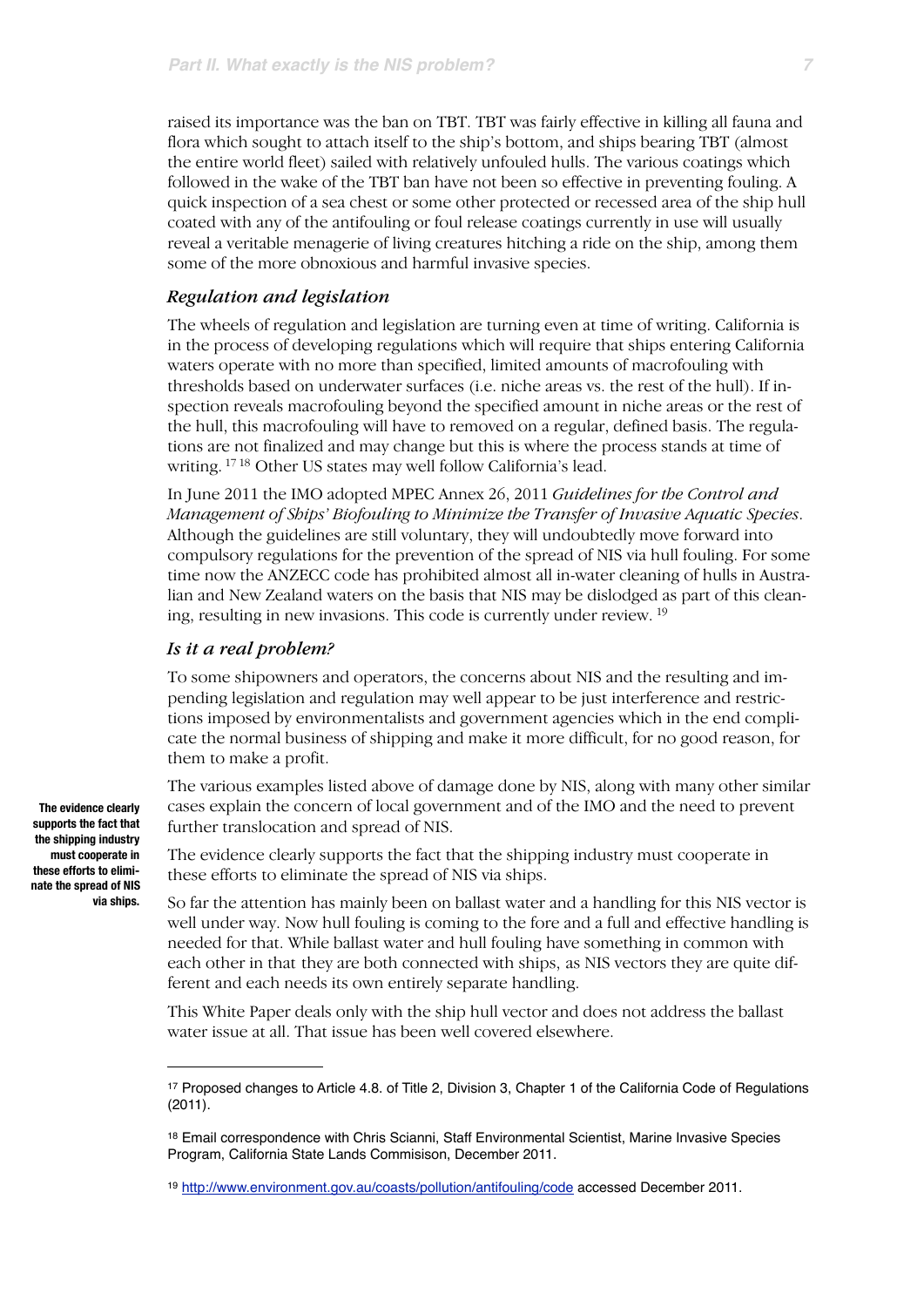raised its importance was the ban on TBT. TBT was fairly effective in killing all fauna and flora which sought to attach itself to the ship's bottom, and ships bearing TBT (almost the entire world fleet) sailed with relatively unfouled hulls. The various coatings which followed in the wake of the TBT ban have not been so effective in preventing fouling. A quick inspection of a sea chest or some other protected or recessed area of the ship hull coated with any of the antifouling or foul release coatings currently in use will usually reveal a veritable menagerie of living creatures hitching a ride on the ship, among them some of the more obnoxious and harmful invasive species.

#### *Regulation and legislation*

The wheels of regulation and legislation are turning even at time of writing. California is in the process of developing regulations which will require that ships entering California waters operate with no more than specified, limited amounts of macrofouling with thresholds based on underwater surfaces (i.e. niche areas vs. the rest of the hull). If inspection reveals macrofouling beyond the specified amount in niche areas or the rest of the hull, this macrofouling will have to removed on a regular, defined basis. The regulations are not finalized and may change but this is where the process stands at time of writing. [17](#page-6-0) [18](#page-6-1) Other US states may well follow California's lead.

In June 2011 the IMO adopted MPEC Annex 26, 2011 *Guidelines for the Control and Management of Ships' Biofouling to Minimize the Transfer of Invasive Aquatic Species*. Although the guidelines are still voluntary, they will undoubtedly move forward into compulsory regulations for the prevention of the spread of NIS via hull fouling. For some time now the ANZECC code has prohibited almost all in-water cleaning of hulls in Australian and New Zealand waters on the basis that NIS may be dislodged as part of this cleaning, resulting in new invasions. This code is currently under review. [19](#page-6-2)

#### *Is it a real problem?*

To some shipowners and operators, the concerns about NIS and the resulting and impending legislation and regulation may well appear to be just interference and restrictions imposed by environmentalists and government agencies which in the end complicate the normal business of shipping and make it more difficult, for no good reason, for them to make a profit.

The various examples listed above of damage done by NIS, along with many other similar cases explain the concern of local government and of the IMO and the need to prevent further translocation and spread of NIS.

The evidence clearly supports the fact that the shipping industry must cooperate in these efforts to eliminate the spread of NIS via ships.

So far the attention has mainly been on ballast water and a handling for this NIS vector is well under way. Now hull fouling is coming to the fore and a full and effective handling is needed for that. While ballast water and hull fouling have something in common with each other in that they are both connected with ships, as NIS vectors they are quite different and each needs its own entirely separate handling.

This White Paper deals only with the ship hull vector and does not address the ballast water issue at all. That issue has been well covered elsewhere.

**The evidence clearly supports the fact that the shipping industry must cooperate in these efforts to eliminate the spread of NIS via ships.**

<span id="page-6-0"></span><sup>17</sup> Proposed changes to Article 4.8. of Title 2, Division 3, Chapter 1 of the California Code of Regulations (2011).

<span id="page-6-1"></span><sup>18</sup> Email correspondence with Chris Scianni, Staff Environmental Scientist, Marine Invasive Species Program, California State Lands Commisison, December 2011.

<span id="page-6-2"></span><sup>19</sup> <http://www.environment.gov.au/coasts/pollution/antifouling/code>accessed December 2011.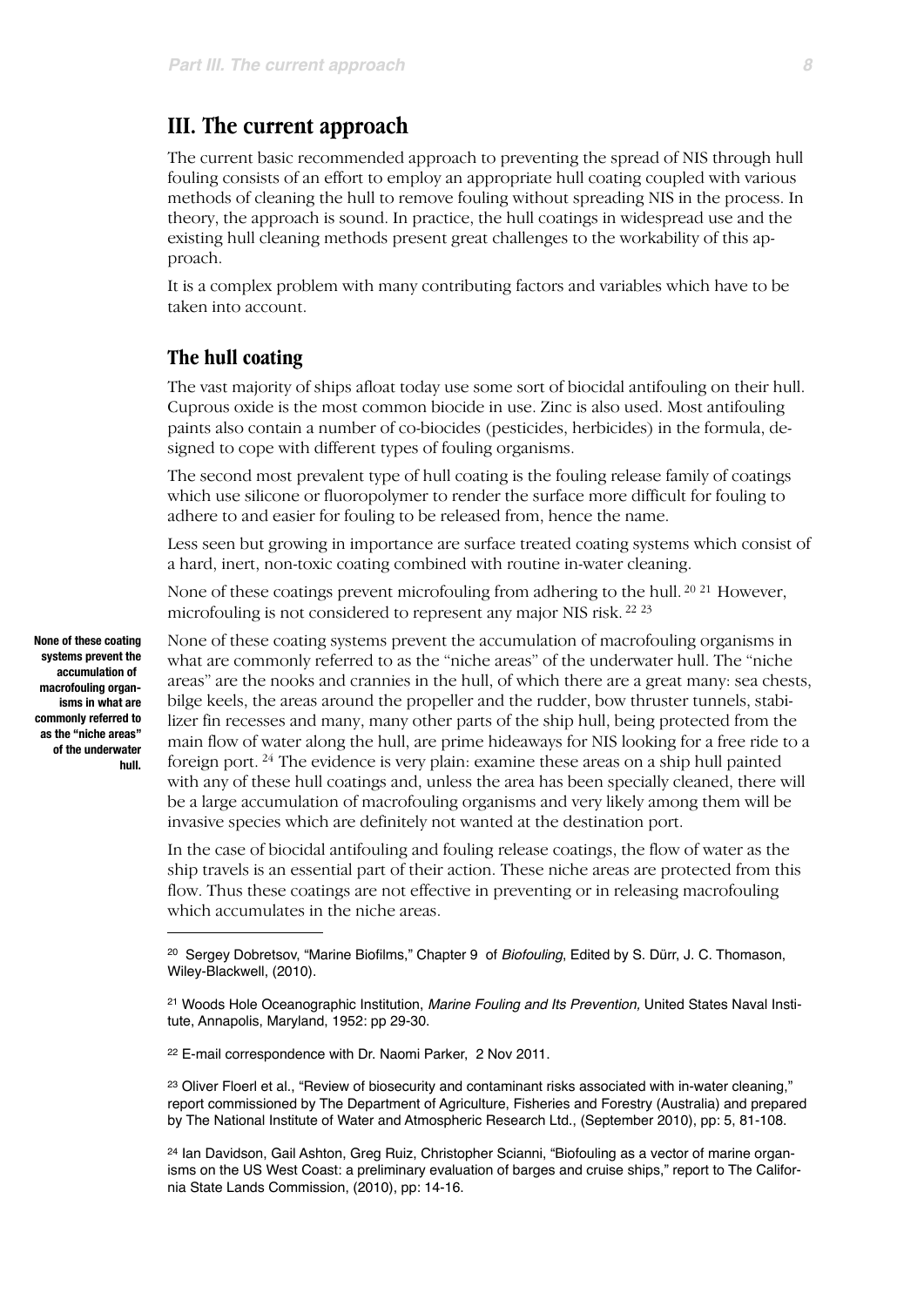### **III. The current approach**

The current basic recommended approach to preventing the spread of NIS through hull fouling consists of an effort to employ an appropriate hull coating coupled with various methods of cleaning the hull to remove fouling without spreading NIS in the process. In theory, the approach is sound. In practice, the hull coatings in widespread use and the existing hull cleaning methods present great challenges to the workability of this approach.

It is a complex problem with many contributing factors and variables which have to be taken into account.

#### **The hull coating**

The vast majority of ships afloat today use some sort of biocidal antifouling on their hull. Cuprous oxide is the most common biocide in use. Zinc is also used. Most antifouling paints also contain a number of co-biocides (pesticides, herbicides) in the formula, designed to cope with different types of fouling organisms.

The second most prevalent type of hull coating is the fouling release family of coatings which use silicone or fluoropolymer to render the surface more difficult for fouling to adhere to and easier for fouling to be released from, hence the name.

Less seen but growing in importance are surface treated coating systems which consist of a hard, inert, non-toxic coating combined with routine in-water cleaning.

None of these coatings prevent microfouling from adhering to the hull. <sup>20 21</sup> However, microfouling is not considered to represent any major NIS risk. [22](#page-7-2) [23](#page-7-3)

None of these coating systems prevent the accumulation of macrofouling organisms in what are commonly referred to as the "niche areas" of the underwater hull. The "niche areas" are the nooks and crannies in the hull, of which there are a great many: sea chests, bilge keels, the areas around the propeller and the rudder, bow thruster tunnels, stabilizer fin recesses and many, many other parts of the ship hull, being protected from the main flow of water along the hull, are prime hideaways for NIS looking for a free ride to a foreign port. [24](#page-7-4) The evidence is very plain: examine these areas on a ship hull painted with any of these hull coatings and, unless the area has been specially cleaned, there will be a large accumulation of macrofouling organisms and very likely among them will be invasive species which are definitely not wanted at the destination port.

In the case of biocidal antifouling and fouling release coatings, the flow of water as the ship travels is an essential part of their action. These niche areas are protected from this flow. Thus these coatings are not effective in preventing or in releasing macrofouling which accumulates in the niche areas.

**None of these coating systems prevent the accumulation of macrofouling organisms in what are commonly referred to as the "niche areas" of the underwater hull.**

<span id="page-7-0"></span><sup>20</sup> Sergey Dobretsov, "Marine Biofilms," Chapter 9 of *Biofouling*, Edited by S. Dürr, J. C. Thomason, Wiley-Blackwell, (2010).

<span id="page-7-1"></span><sup>21</sup> Woods Hole Oceanographic Institution, *Marine Fouling and Its Prevention,* United States Naval Institute, Annapolis, Maryland, 1952: pp 29-30.

<span id="page-7-2"></span><sup>22</sup> E-mail correspondence with Dr. Naomi Parker, 2 Nov 2011.

<span id="page-7-3"></span><sup>&</sup>lt;sup>23</sup> Oliver Floerl et al., "Review of biosecurity and contaminant risks associated with in-water cleaning," report commissioned by The Department of Agriculture, Fisheries and Forestry (Australia) and prepared by The National Institute of Water and Atmospheric Research Ltd., (September 2010), pp: 5, 81-108.

<span id="page-7-4"></span><sup>24</sup> Ian Davidson, Gail Ashton, Greg Ruiz, Christopher Scianni, "Biofouling as a vector of marine organisms on the US West Coast: a preliminary evaluation of barges and cruise ships," report to The California State Lands Commission, (2010), pp: 14-16.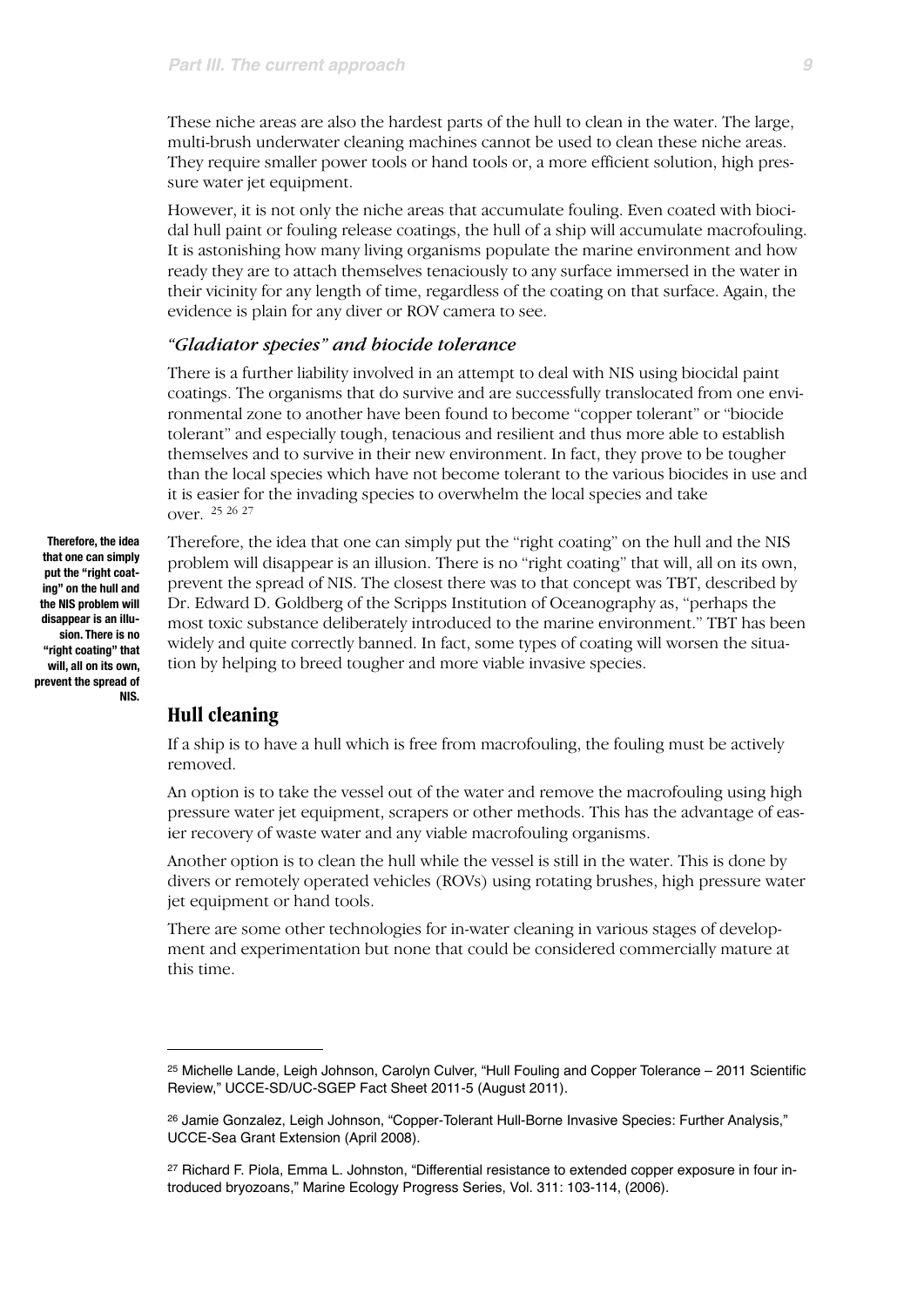These niche areas are also the hardest parts of the hull to clean in the water. The large, multi-brush underwater cleaning machines cannot be used to clean these niche areas. They require smaller power tools or hand tools or, a more efficient solution, high pressure water jet equipment.

However, it is not only the niche areas that accumulate fouling. Even coated with biocidal hull paint or fouling release coatings, the hull of a ship will accumulate macrofouling. It is astonishing how many living organisms populate the marine environment and how ready they are to attach themselves tenaciously to any surface immersed in the water in their vicinity for any length of time, regardless of the coating on that surface. Again, the evidence is plain for any diver or ROV camera to see.

#### *"Gladiator species" and biocide tolerance*

There is a further liability involved in an attempt to deal with NIS using biocidal paint coatings. The organisms that do survive and are successfully translocated from one environmental zone to another have been found to become "copper tolerant" or "biocide tolerant" and especially tough, tenacious and resilient and thus more able to establish themselves and to survive in their new environment. In fact, they prove to be tougher than the local species which have not become tolerant to the various biocides in use and it is easier for the invading species to overwhelm the local species and take over. [25](#page-8-0) [26](#page-8-1) [27](#page-8-2)

**Therefore, the idea that one can simply put the "right coating" on the hull and the NIS problem will disappear is an illusion. There is no "right coating" that will, all on its own, prevent the spread of NIS.**

Therefore, the idea that one can simply put the "right coating" on the hull and the NIS problem will disappear is an illusion. There is no "right coating" that will, all on its own, prevent the spread of NIS. The closest there was to that concept was TBT, described by Dr. Edward D. Goldberg of the Scripps Institution of Oceanography as, "perhaps the most toxic substance deliberately introduced to the marine environment." TBT has been widely and quite correctly banned. In fact, some types of coating will worsen the situation by helping to breed tougher and more viable invasive species.

#### **Hull cleaning**

If a ship is to have a hull which is free from macrofouling, the fouling must be actively removed.

An option is to take the vessel out of the water and remove the macrofouling using high pressure water jet equipment, scrapers or other methods. This has the advantage of easier recovery of waste water and any viable macrofouling organisms.

Another option is to clean the hull while the vessel is still in the water. This is done by divers or remotely operated vehicles (ROVs) using rotating brushes, high pressure water jet equipment or hand tools.

There are some other technologies for in-water cleaning in various stages of development and experimentation but none that could be considered commercially mature at this time.

<span id="page-8-0"></span><sup>25</sup> Michelle Lande, Leigh Johnson, Carolyn Culver, "Hull Fouling and Copper Tolerance – 2011 Scientific Review," UCCE-SD/UC-SGEP Fact Sheet 2011-5 (August 2011).

<span id="page-8-1"></span><sup>26</sup> Jamie Gonzalez, Leigh Johnson, "Copper-Tolerant Hull-Borne Invasive Species: Further Analysis," UCCE-Sea Grant Extension (April 2008).

<span id="page-8-2"></span><sup>27</sup> Richard F. Piola, Emma L. Johnston, "Differential resistance to extended copper exposure in four introduced bryozoans," Marine Ecology Progress Series, Vol. 311: 103-114, (2006).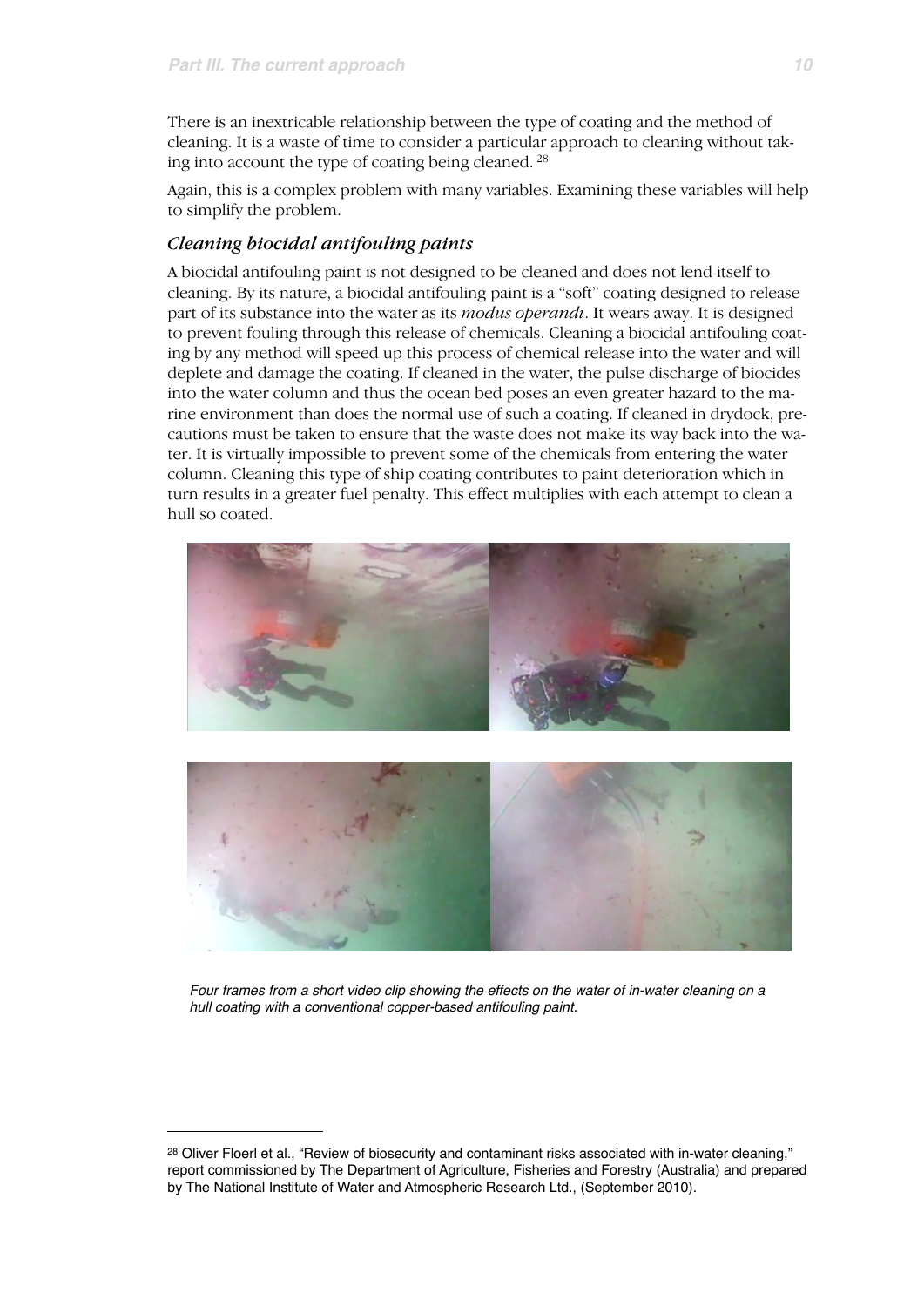There is an inextricable relationship between the type of coating and the method of cleaning. It is a waste of time to consider a particular approach to cleaning without taking into account the type of coating being cleaned. [28](#page-9-0)

Again, this is a complex problem with many variables. Examining these variables will help to simplify the problem.

#### *Cleaning biocidal antifouling paints*

A biocidal antifouling paint is not designed to be cleaned and does not lend itself to cleaning. By its nature, a biocidal antifouling paint is a "soft" coating designed to release part of its substance into the water as its *modus operandi*. It wears away. It is designed to prevent fouling through this release of chemicals. Cleaning a biocidal antifouling coating by any method will speed up this process of chemical release into the water and will deplete and damage the coating. If cleaned in the water, the pulse discharge of biocides into the water column and thus the ocean bed poses an even greater hazard to the marine environment than does the normal use of such a coating. If cleaned in drydock, precautions must be taken to ensure that the waste does not make its way back into the water. It is virtually impossible to prevent some of the chemicals from entering the water column. Cleaning this type of ship coating contributes to paint deterioration which in turn results in a greater fuel penalty. This effect multiplies with each attempt to clean a hull so coated.



*Four frames from a short video clip showing the effects on the water of in-water cleaning on a hull coating with a conventional copper-based antifouling paint.*

<span id="page-9-0"></span><sup>&</sup>lt;sup>28</sup> Oliver Floerl et al., "Review of biosecurity and contaminant risks associated with in-water cleaning," report commissioned by The Department of Agriculture, Fisheries and Forestry (Australia) and prepared by The National Institute of Water and Atmospheric Research Ltd., (September 2010).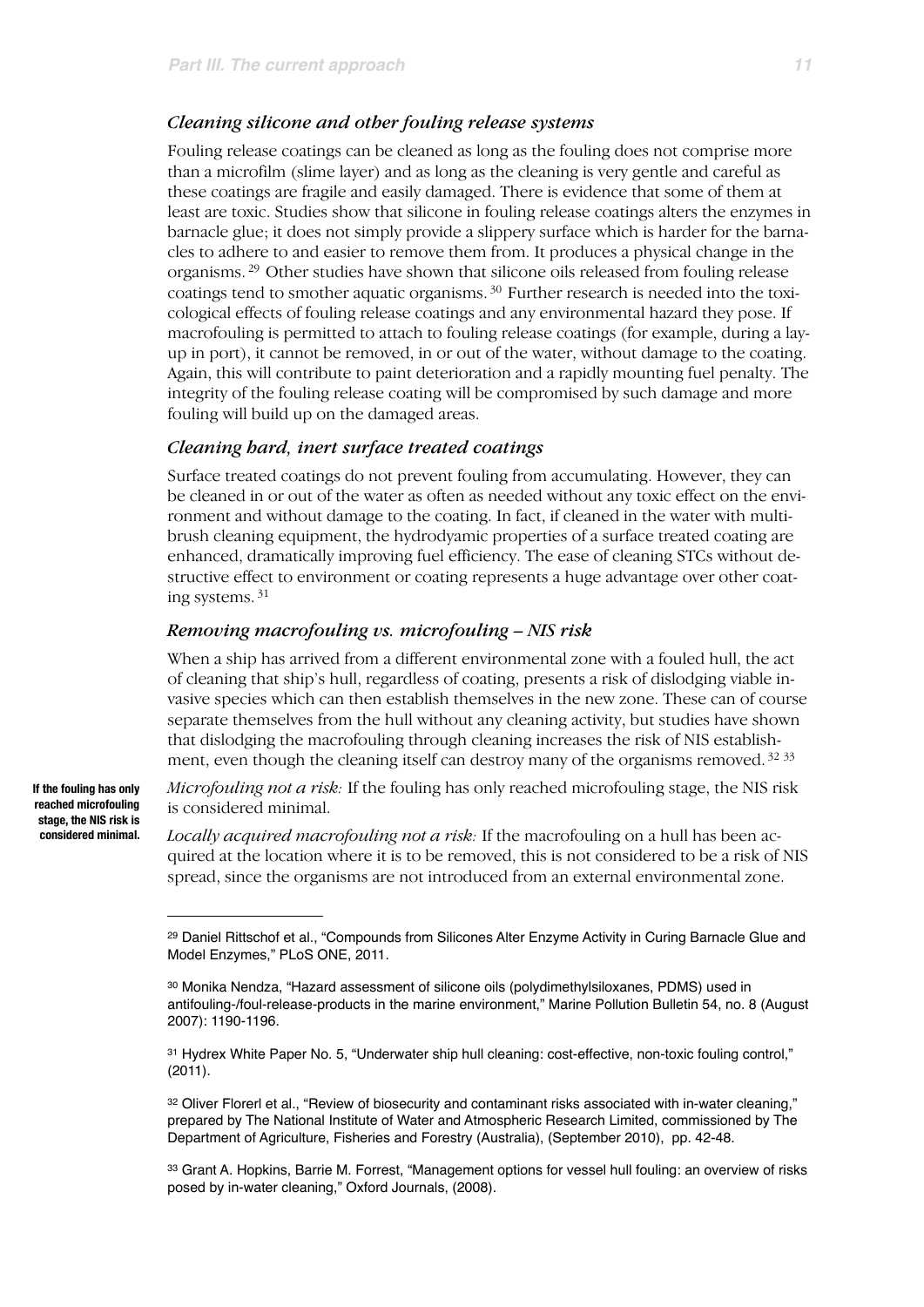#### *Cleaning silicone and other fouling release systems*

Fouling release coatings can be cleaned as long as the fouling does not comprise more than a microfilm (slime layer) and as long as the cleaning is very gentle and careful as these coatings are fragile and easily damaged. There is evidence that some of them at least are toxic. Studies show that silicone in fouling release coatings alters the enzymes in barnacle glue; it does not simply provide a slippery surface which is harder for the barnacles to adhere to and easier to remove them from. It produces a physical change in the organisms. [29](#page-10-0) Other studies have shown that silicone oils released from fouling release coatings tend to smother aquatic organisms. [30](#page-10-1) Further research is needed into the toxicological effects of fouling release coatings and any environmental hazard they pose. If macrofouling is permitted to attach to fouling release coatings (for example, during a layup in port), it cannot be removed, in or out of the water, without damage to the coating. Again, this will contribute to paint deterioration and a rapidly mounting fuel penalty. The integrity of the fouling release coating will be compromised by such damage and more fouling will build up on the damaged areas.

#### *Cleaning hard, inert surface treated coatings*

Surface treated coatings do not prevent fouling from accumulating. However, they can be cleaned in or out of the water as often as needed without any toxic effect on the environment and without damage to the coating. In fact, if cleaned in the water with multibrush cleaning equipment, the hydrodyamic properties of a surface treated coating are enhanced, dramatically improving fuel efficiency. The ease of cleaning STCs without destructive effect to environment or coating represents a huge advantage over other coating systems. [31](#page-10-2)

#### *Removing macrofouling vs. microfouling – NIS risk*

When a ship has arrived from a different environmental zone with a fouled hull, the act of cleaning that ship's hull, regardless of coating, presents a risk of dislodging viable invasive species which can then establish themselves in the new zone. These can of course separate themselves from the hull without any cleaning activity, but studies have shown that dislodging the macrofouling through cleaning increases the risk of NIS establish-ment, even though the cleaning itself can destroy many of the organisms removed.<sup>32</sup> [33](#page-10-4)

*Microfouling not a risk:* If the fouling has only reached microfouling stage, the NIS risk is considered minimal.

*Locally acquired macrofouling not a risk:* If the macrofouling on a hull has been acquired at the location where it is to be removed, this is not considered to be a risk of NIS spread, since the organisms are not introduced from an external environmental zone.

**If the fouling has only reached microfouling stage, the NIS risk is considered minimal.** 

<span id="page-10-0"></span><sup>29</sup> Daniel Rittschof et al., "Compounds from Silicones Alter Enzyme Activity in Curing Barnacle Glue and Model Enzymes," PLoS ONE, 2011.

<span id="page-10-1"></span><sup>30</sup> Monika Nendza, "Hazard assessment of silicone oils (polydimethylsiloxanes, PDMS) used in antifouling-/foul-release-products in the marine environment," Marine Pollution Bulletin 54, no. 8 (August 2007): 1190-1196.

<span id="page-10-2"></span><sup>31</sup> Hydrex White Paper No. 5, "Underwater ship hull cleaning: cost-effective, non-toxic fouling control," (2011).

<span id="page-10-3"></span><sup>32</sup> Oliver Florerl et al., "Review of biosecurity and contaminant risks associated with in-water cleaning," prepared by The National Institute of Water and Atmospheric Research Limited, commissioned by The Department of Agriculture, Fisheries and Forestry (Australia), (September 2010), pp. 42-48.

<span id="page-10-4"></span><sup>33</sup> Grant A. Hopkins, Barrie M. Forrest, "Management options for vessel hull fouling: an overview of risks posed by in-water cleaning," Oxford Journals, (2008).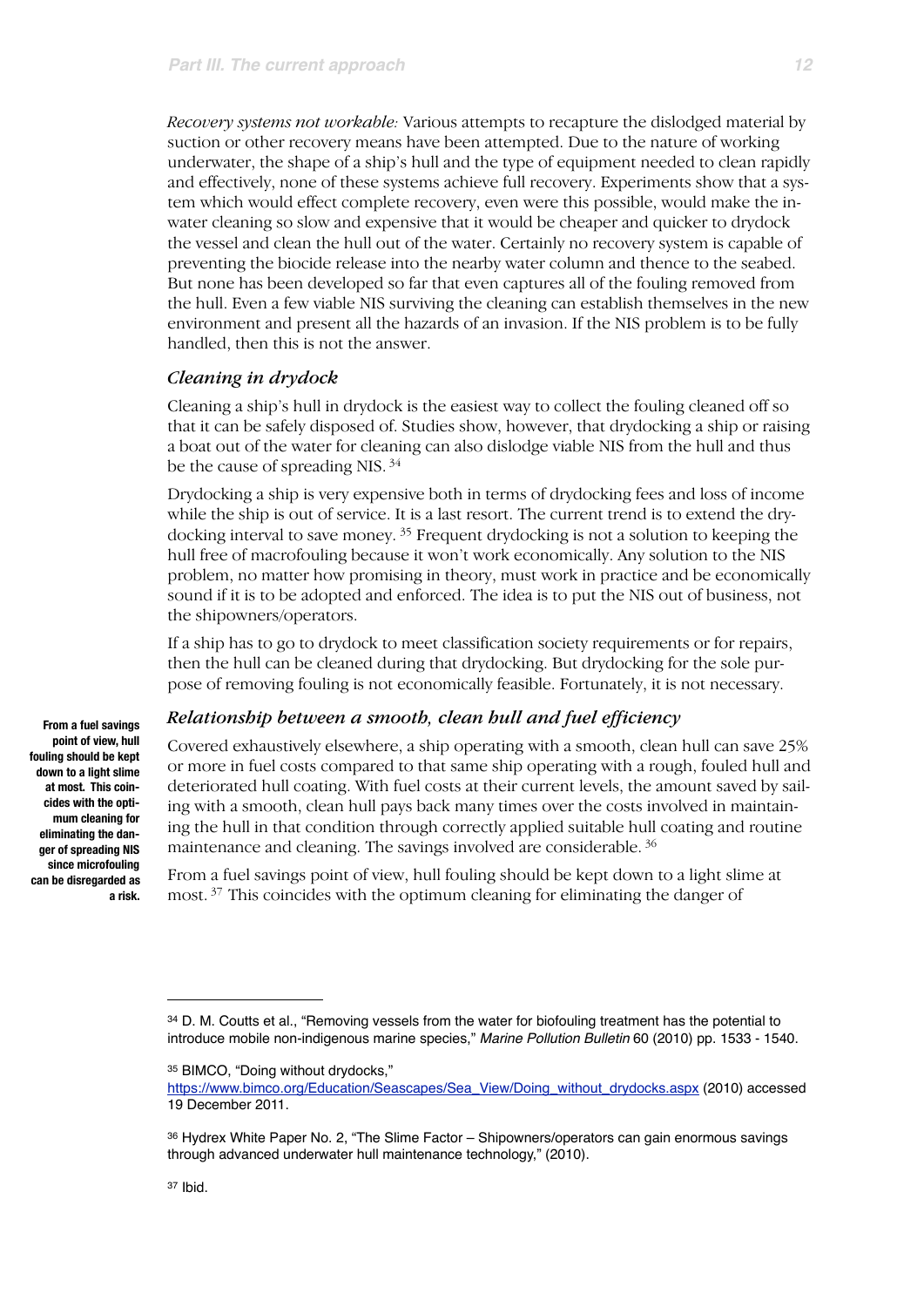*Recovery systems not workable:* Various attempts to recapture the dislodged material by suction or other recovery means have been attempted. Due to the nature of working underwater, the shape of a ship's hull and the type of equipment needed to clean rapidly and effectively, none of these systems achieve full recovery. Experiments show that a system which would effect complete recovery, even were this possible, would make the inwater cleaning so slow and expensive that it would be cheaper and quicker to drydock the vessel and clean the hull out of the water. Certainly no recovery system is capable of preventing the biocide release into the nearby water column and thence to the seabed. But none has been developed so far that even captures all of the fouling removed from the hull. Even a few viable NIS surviving the cleaning can establish themselves in the new environment and present all the hazards of an invasion. If the NIS problem is to be fully handled, then this is not the answer.

#### *Cleaning in drydock*

Cleaning a ship's hull in drydock is the easiest way to collect the fouling cleaned off so that it can be safely disposed of. Studies show, however, that drydocking a ship or raising a boat out of the water for cleaning can also dislodge viable NIS from the hull and thus be the cause of spreading NIS. [34](#page-11-0)

Drydocking a ship is very expensive both in terms of drydocking fees and loss of income while the ship is out of service. It is a last resort. The current trend is to extend the drydocking interval to save money. [35](#page-11-1) Frequent drydocking is not a solution to keeping the hull free of macrofouling because it won't work economically. Any solution to the NIS problem, no matter how promising in theory, must work in practice and be economically sound if it is to be adopted and enforced. The idea is to put the NIS out of business, not the shipowners/operators.

If a ship has to go to drydock to meet classification society requirements or for repairs, then the hull can be cleaned during that drydocking. But drydocking for the sole purpose of removing fouling is not economically feasible. Fortunately, it is not necessary.

#### *Relationship between a smooth, clean hull and fuel efficiency*

Covered exhaustively elsewhere, a ship operating with a smooth, clean hull can save 25% or more in fuel costs compared to that same ship operating with a rough, fouled hull and deteriorated hull coating. With fuel costs at their current levels, the amount saved by sailing with a smooth, clean hull pays back many times over the costs involved in maintaining the hull in that condition through correctly applied suitable hull coating and routine maintenance and cleaning. The savings involved are considerable. [36](#page-11-2)

From a fuel savings point of view, hull fouling should be kept down to a light slime at most. [37](#page-11-3) This coincides with the optimum cleaning for eliminating the danger of

**From a fuel savings point of view, hull fouling should be kept down to a light slime at most. This coincides with the optimum cleaning for eliminating the danger of spreading NIS since microfouling can be disregarded as a risk.** 

<span id="page-11-0"></span><sup>34</sup> D. M. Coutts et al., "Removing vessels from the water for biofouling treatment has the potential to introduce mobile non-indigenous marine species," *Marine Pollution Bulletin* 60 (2010) pp. 1533 - 1540.

<span id="page-11-1"></span><sup>35</sup> BIMCO, "Doing without drydocks,"

[https://www.bimco.org/Education/Seascapes/Sea\\_View/Doing\\_without\\_drydocks.aspx](https://www.bimco.org/Education/Seascapes/Sea_View/Doing_without_drydocks.aspx) (2010) accessed 19 December 2011.

<span id="page-11-3"></span><span id="page-11-2"></span><sup>36</sup> Hydrex White Paper No. 2, "The Slime Factor – Shipowners/operators can gain enormous savings through advanced underwater hull maintenance technology," (2010).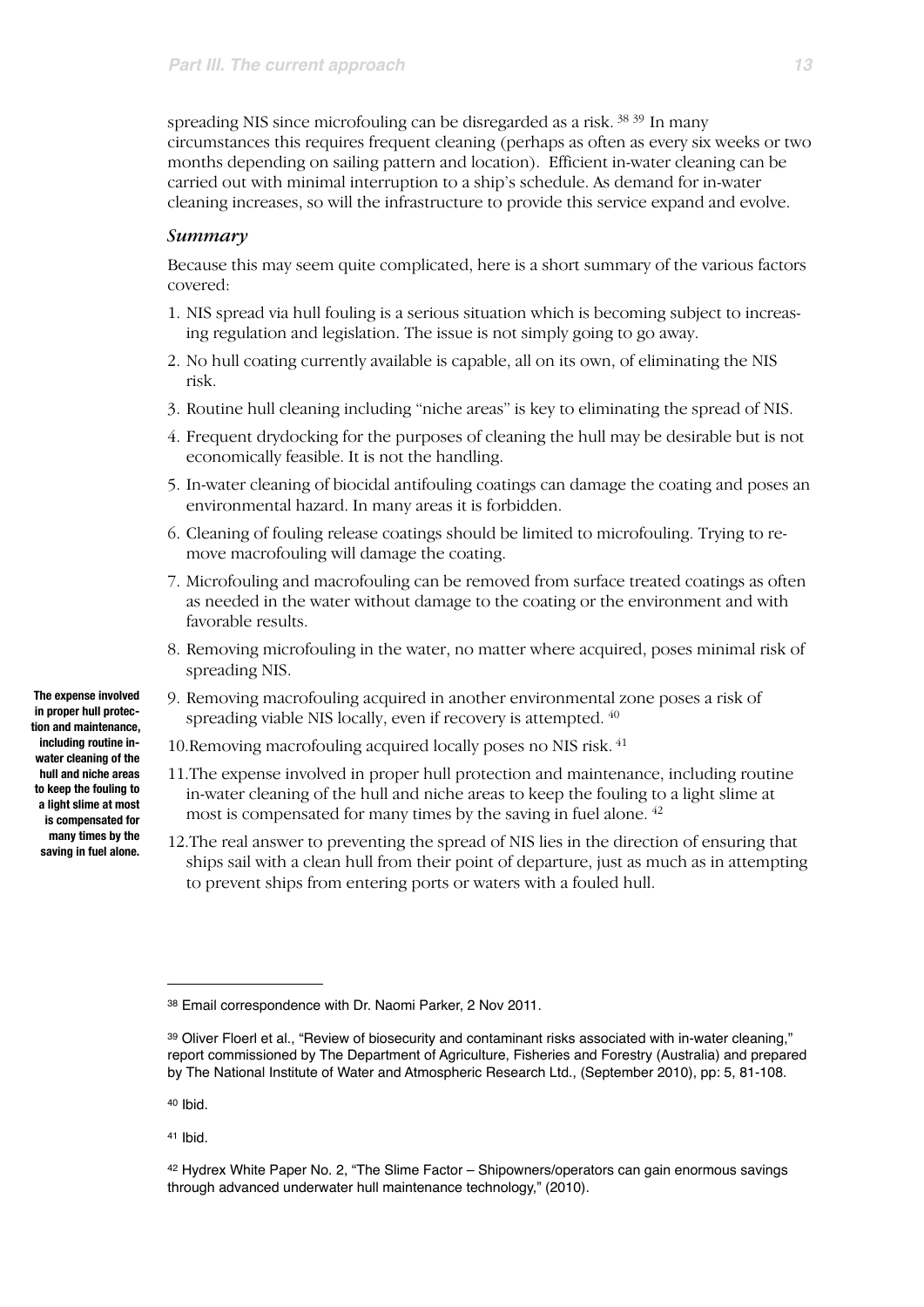spreading NIS since microfouling can be disregarded as a risk. [38](#page-12-0) [39](#page-12-1) In many circumstances this requires frequent cleaning (perhaps as often as every six weeks or two months depending on sailing pattern and location). Efficient in-water cleaning can be carried out with minimal interruption to a ship's schedule. As demand for in-water cleaning increases, so will the infrastructure to provide this service expand and evolve.

#### *Summary*

Because this may seem quite complicated, here is a short summary of the various factors covered:

- 1. NIS spread via hull fouling is a serious situation which is becoming subject to increasing regulation and legislation. The issue is not simply going to go away.
- 2. No hull coating currently available is capable, all on its own, of eliminating the NIS risk.
- 3. Routine hull cleaning including "niche areas" is key to eliminating the spread of NIS.
- 4. Frequent drydocking for the purposes of cleaning the hull may be desirable but is not economically feasible. It is not the handling.
- 5. In-water cleaning of biocidal antifouling coatings can damage the coating and poses an environmental hazard. In many areas it is forbidden.
- 6. Cleaning of fouling release coatings should be limited to microfouling. Trying to remove macrofouling will damage the coating.
- 7. Microfouling and macrofouling can be removed from surface treated coatings as often as needed in the water without damage to the coating or the environment and with favorable results.
- 8. Removing microfouling in the water, no matter where acquired, poses minimal risk of spreading NIS.
- 9. Removing macrofouling acquired in another environmental zone poses a risk of spreading viable NIS locally, even if recovery is attempted.  $40$
- 10.Removing macrofouling acquired locally poses no NIS risk. [41](#page-12-3)
- 11.The expense involved in proper hull protection and maintenance, including routine in-water cleaning of the hull and niche areas to keep the fouling to a light slime at most is compensated for many times by the saving in fuel alone. [42](#page-12-4)
- 12.The real answer to preventing the spread of NIS lies in the direction of ensuring that ships sail with a clean hull from their point of departure, just as much as in attempting to prevent ships from entering ports or waters with a fouled hull.

<span id="page-12-2"></span>40 Ibid.

<span id="page-12-3"></span>41 Ibid.

**in proper hull protection and maintenance, including routine inwater cleaning of the hull and niche areas to keep the fouling to a light slime at most is compensated for many times by the saving in fuel alone.**

**The expense involved** 

<span id="page-12-0"></span><sup>38</sup> Email correspondence with Dr. Naomi Parker, 2 Nov 2011.

<span id="page-12-1"></span><sup>39</sup> Oliver Floerl et al., "Review of biosecurity and contaminant risks associated with in-water cleaning," report commissioned by The Department of Agriculture, Fisheries and Forestry (Australia) and prepared by The National Institute of Water and Atmospheric Research Ltd., (September 2010), pp: 5, 81-108.

<span id="page-12-4"></span><sup>42</sup> Hydrex White Paper No. 2, "The Slime Factor – Shipowners/operators can gain enormous savings through advanced underwater hull maintenance technology," (2010).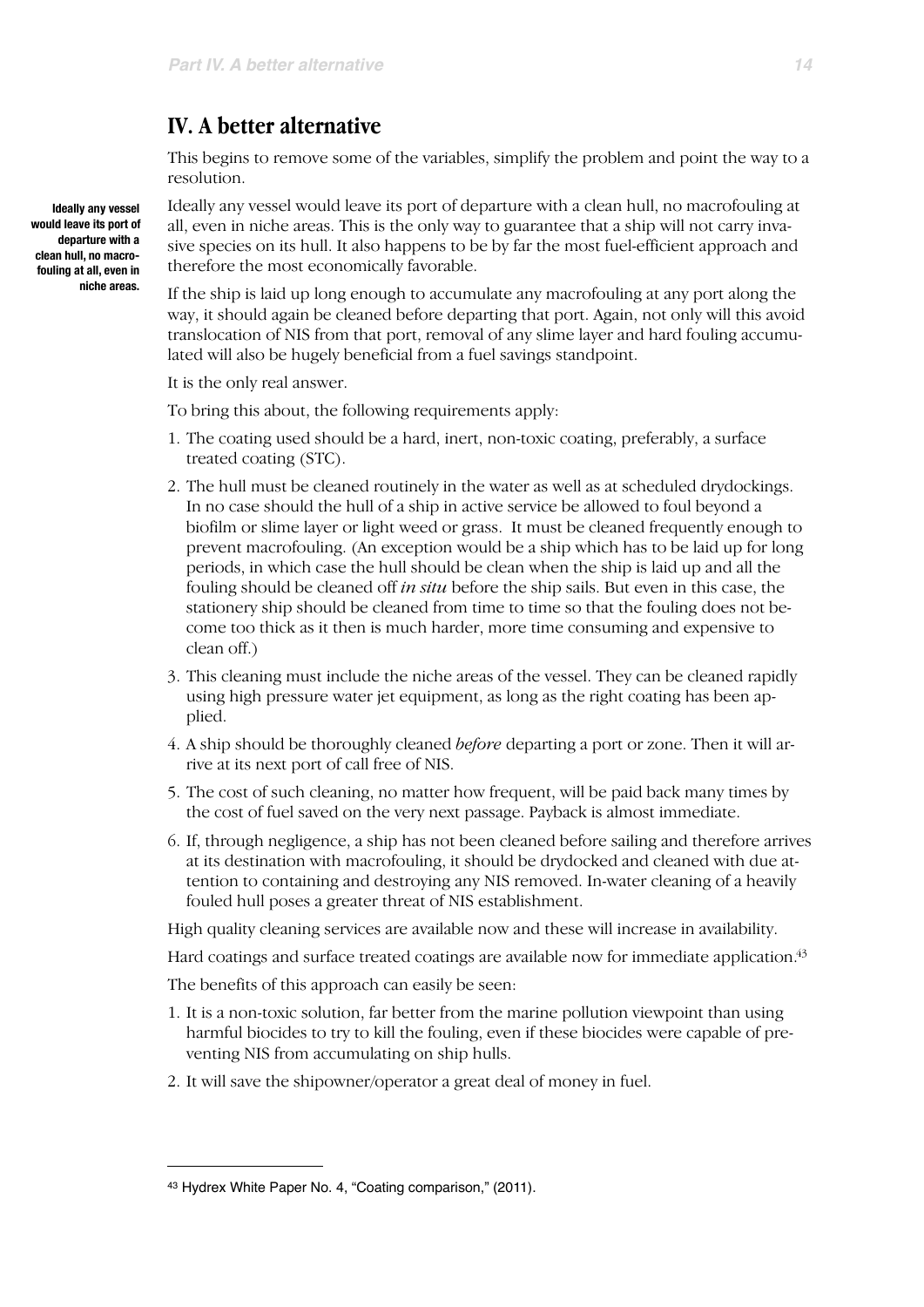## **IV. A better alternative**

This begins to remove some of the variables, simplify the problem and point the way to a resolution.

Ideally any vessel would leave its port of departure with a clean hull, no macrofouling at all, even in niche areas. This is the only way to guarantee that a ship will not carry invasive species on its hull. It also happens to be by far the most fuel-efficient approach and therefore the most economically favorable.

If the ship is laid up long enough to accumulate any macrofouling at any port along the way, it should again be cleaned before departing that port. Again, not only will this avoid translocation of NIS from that port, removal of any slime layer and hard fouling accumulated will also be hugely beneficial from a fuel savings standpoint.

It is the only real answer.

To bring this about, the following requirements apply:

- 1. The coating used should be a hard, inert, non-toxic coating, preferably, a surface treated coating (STC).
- 2. The hull must be cleaned routinely in the water as well as at scheduled drydockings. In no case should the hull of a ship in active service be allowed to foul beyond a biofilm or slime layer or light weed or grass. It must be cleaned frequently enough to prevent macrofouling. (An exception would be a ship which has to be laid up for long periods, in which case the hull should be clean when the ship is laid up and all the fouling should be cleaned off *in situ* before the ship sails. But even in this case, the stationery ship should be cleaned from time to time so that the fouling does not become too thick as it then is much harder, more time consuming and expensive to clean off.)
- 3. This cleaning must include the niche areas of the vessel. They can be cleaned rapidly using high pressure water jet equipment, as long as the right coating has been applied.
- 4. A ship should be thoroughly cleaned *before* departing a port or zone. Then it will arrive at its next port of call free of NIS.
- 5. The cost of such cleaning, no matter how frequent, will be paid back many times by the cost of fuel saved on the very next passage. Payback is almost immediate.
- 6. If, through negligence, a ship has not been cleaned before sailing and therefore arrives at its destination with macrofouling, it should be drydocked and cleaned with due attention to containing and destroying any NIS removed. In-water cleaning of a heavily fouled hull poses a greater threat of NIS establishment.

High quality cleaning services are available now and these will increase in availability.

Hard coatings and surface treated coatings are available now for immediate application[.43](#page-13-0)

The benefits of this approach can easily be seen:

- 1. It is a non-toxic solution, far better from the marine pollution viewpoint than using harmful biocides to try to kill the fouling, even if these biocides were capable of preventing NIS from accumulating on ship hulls.
- 2. It will save the shipowner/operator a great deal of money in fuel.

**Ideally any vessel would leave its port of departure with a clean hull, no macrofouling at all, even in niche areas.**

<span id="page-13-0"></span><sup>43</sup> Hydrex White Paper No. 4, "Coating comparison," (2011).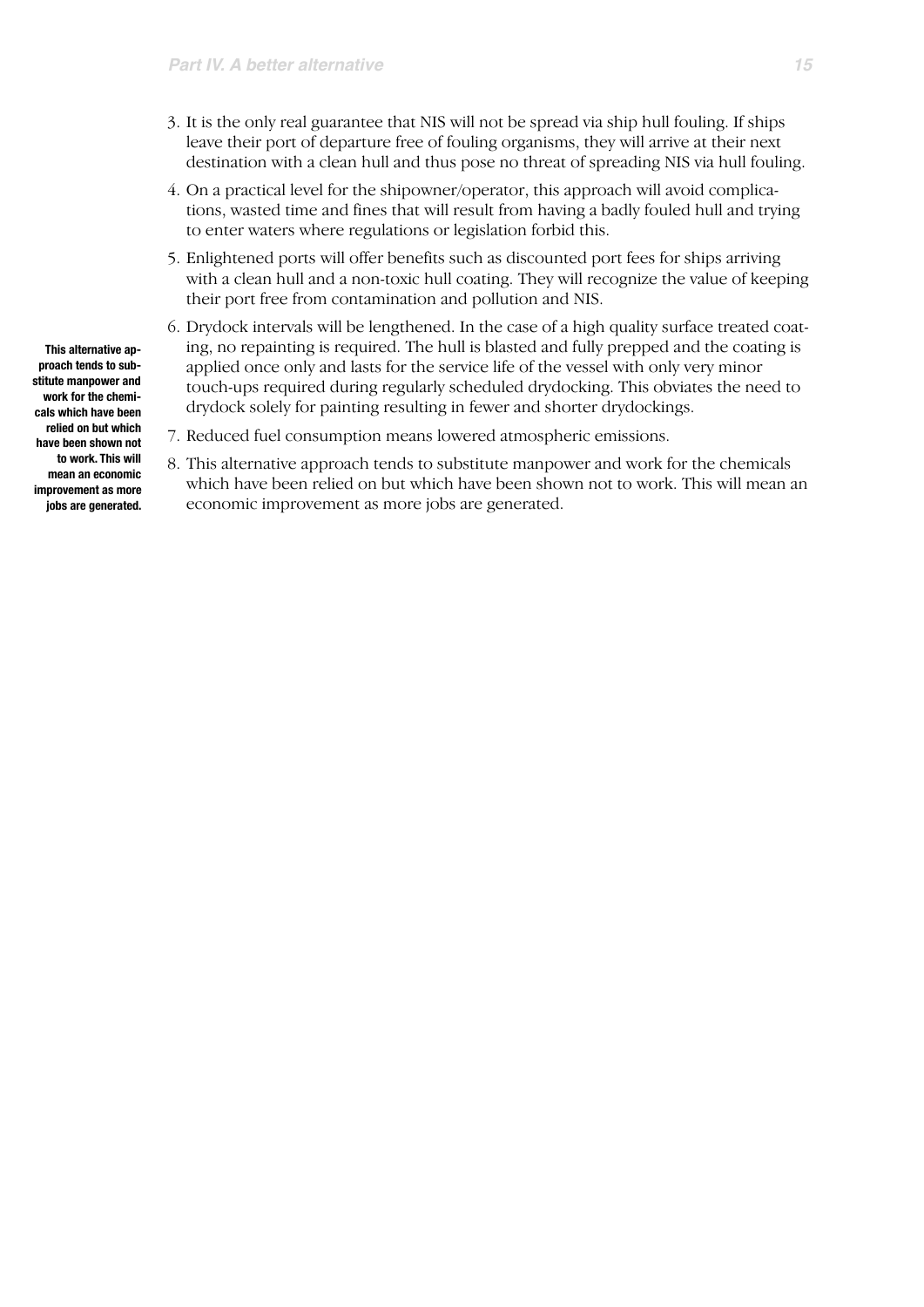- 3. It is the only real guarantee that NIS will not be spread via ship hull fouling. If ships leave their port of departure free of fouling organisms, they will arrive at their next destination with a clean hull and thus pose no threat of spreading NIS via hull fouling.
- 4. On a practical level for the shipowner/operator, this approach will avoid complications, wasted time and fines that will result from having a badly fouled hull and trying to enter waters where regulations or legislation forbid this.
- 5. Enlightened ports will offer benefits such as discounted port fees for ships arriving with a clean hull and a non-toxic hull coating. They will recognize the value of keeping their port free from contamination and pollution and NIS.
- 6. Drydock intervals will be lengthened. In the case of a high quality surface treated coating, no repainting is required. The hull is blasted and fully prepped and the coating is applied once only and lasts for the service life of the vessel with only very minor touch-ups required during regularly scheduled drydocking. This obviates the need to drydock solely for painting resulting in fewer and shorter drydockings.
- 7. Reduced fuel consumption means lowered atmospheric emissions.
- 8. This alternative approach tends to substitute manpower and work for the chemicals which have been relied on but which have been shown not to work. This will mean an economic improvement as more jobs are generated.
- **This alternative approach tends to substitute manpower and work for the chemicals which have been relied on but which have been shown not to work. This will mean an economic improvement as more jobs are generated.**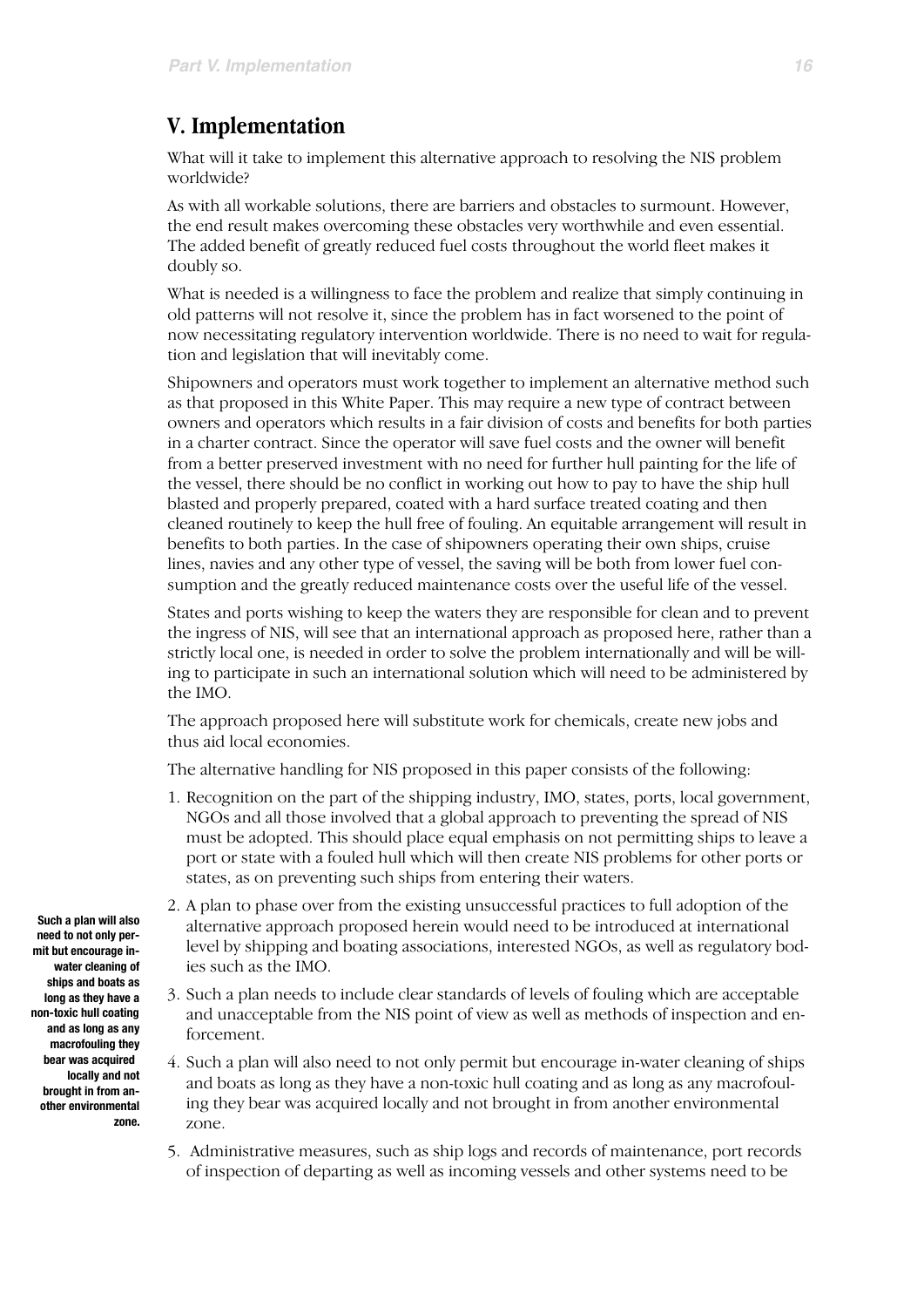# **V. Implementation**

What will it take to implement this alternative approach to resolving the NIS problem worldwide?

As with all workable solutions, there are barriers and obstacles to surmount. However, the end result makes overcoming these obstacles very worthwhile and even essential. The added benefit of greatly reduced fuel costs throughout the world fleet makes it doubly so.

What is needed is a willingness to face the problem and realize that simply continuing in old patterns will not resolve it, since the problem has in fact worsened to the point of now necessitating regulatory intervention worldwide. There is no need to wait for regulation and legislation that will inevitably come.

Shipowners and operators must work together to implement an alternative method such as that proposed in this White Paper. This may require a new type of contract between owners and operators which results in a fair division of costs and benefits for both parties in a charter contract. Since the operator will save fuel costs and the owner will benefit from a better preserved investment with no need for further hull painting for the life of the vessel, there should be no conflict in working out how to pay to have the ship hull blasted and properly prepared, coated with a hard surface treated coating and then cleaned routinely to keep the hull free of fouling. An equitable arrangement will result in benefits to both parties. In the case of shipowners operating their own ships, cruise lines, navies and any other type of vessel, the saving will be both from lower fuel consumption and the greatly reduced maintenance costs over the useful life of the vessel.

States and ports wishing to keep the waters they are responsible for clean and to prevent the ingress of NIS, will see that an international approach as proposed here, rather than a strictly local one, is needed in order to solve the problem internationally and will be willing to participate in such an international solution which will need to be administered by the IMO.

The approach proposed here will substitute work for chemicals, create new jobs and thus aid local economies.

The alternative handling for NIS proposed in this paper consists of the following:

- 1. Recognition on the part of the shipping industry, IMO, states, ports, local government, NGOs and all those involved that a global approach to preventing the spread of NIS must be adopted. This should place equal emphasis on not permitting ships to leave a port or state with a fouled hull which will then create NIS problems for other ports or states, as on preventing such ships from entering their waters.
- 2. A plan to phase over from the existing unsuccessful practices to full adoption of the alternative approach proposed herein would need to be introduced at international level by shipping and boating associations, interested NGOs, as well as regulatory bodies such as the IMO.
- 3. Such a plan needs to include clear standards of levels of fouling which are acceptable and unacceptable from the NIS point of view as well as methods of inspection and enforcement.
- 4. Such a plan will also need to not only permit but encourage in-water cleaning of ships and boats as long as they have a non-toxic hull coating and as long as any macrofouling they bear was acquired locally and not brought in from another environmental zone.
- 5. Administrative measures, such as ship logs and records of maintenance, port records of inspection of departing as well as incoming vessels and other systems need to be

**Such a plan will also need to not only per**mit but encourage in**water cleaning of ships and boats as long as they have a non-toxic hull coating and as long as any macrofouling they bear was acquired locally and not brought in from another environmental zone.**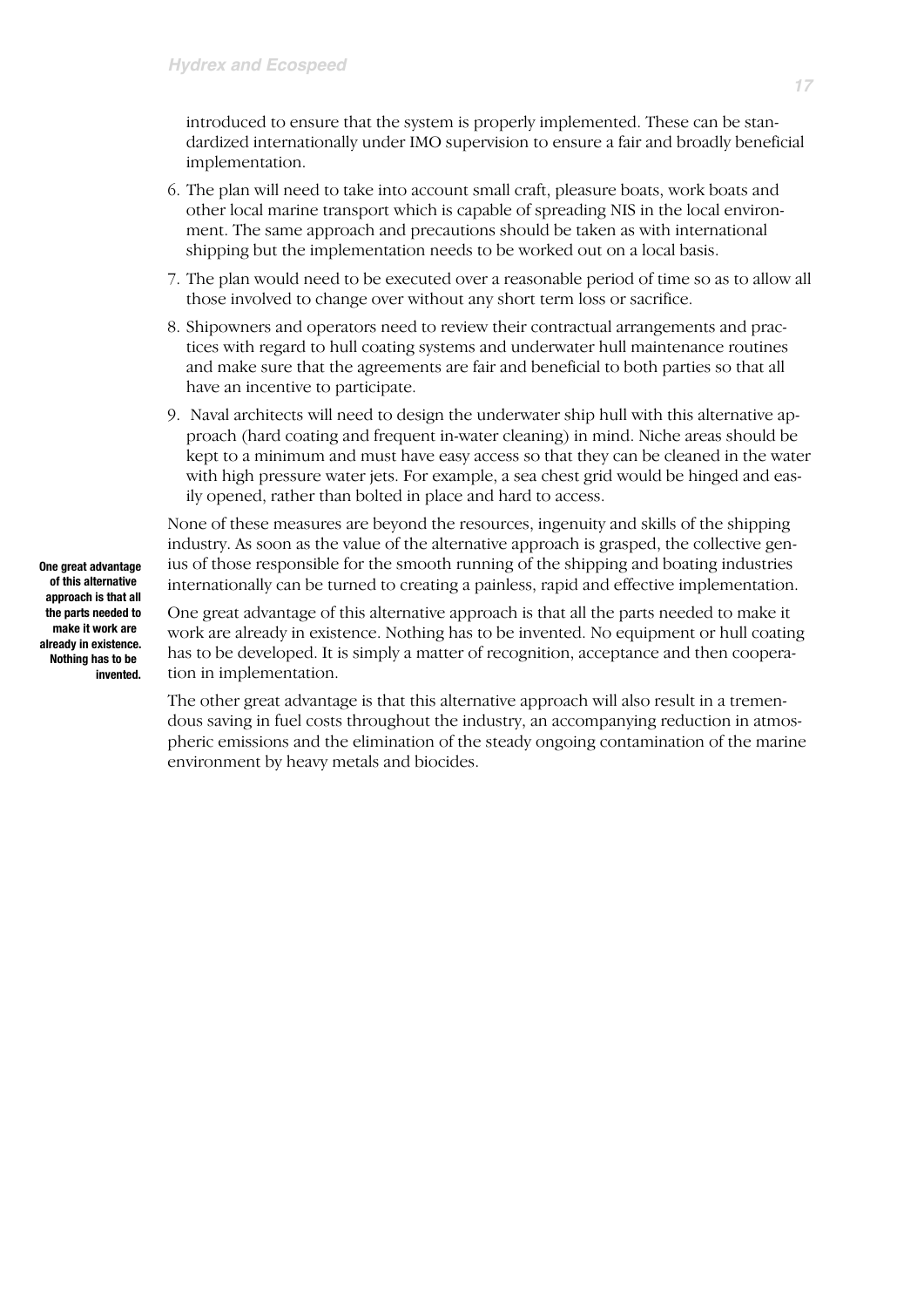introduced to ensure that the system is properly implemented. These can be standardized internationally under IMO supervision to ensure a fair and broadly beneficial implementation.

- 6. The plan will need to take into account small craft, pleasure boats, work boats and other local marine transport which is capable of spreading NIS in the local environment. The same approach and precautions should be taken as with international shipping but the implementation needs to be worked out on a local basis.
- 7. The plan would need to be executed over a reasonable period of time so as to allow all those involved to change over without any short term loss or sacrifice.
- 8. Shipowners and operators need to review their contractual arrangements and practices with regard to hull coating systems and underwater hull maintenance routines and make sure that the agreements are fair and beneficial to both parties so that all have an incentive to participate.
- 9. Naval architects will need to design the underwater ship hull with this alternative approach (hard coating and frequent in-water cleaning) in mind. Niche areas should be kept to a minimum and must have easy access so that they can be cleaned in the water with high pressure water jets. For example, a sea chest grid would be hinged and easily opened, rather than bolted in place and hard to access.

None of these measures are beyond the resources, ingenuity and skills of the shipping industry. As soon as the value of the alternative approach is grasped, the collective genius of those responsible for the smooth running of the shipping and boating industries internationally can be turned to creating a painless, rapid and effective implementation.

One great advantage of this alternative approach is that all the parts needed to make it work are already in existence. Nothing has to be invented. No equipment or hull coating has to be developed. It is simply a matter of recognition, acceptance and then cooperation in implementation.

The other great advantage is that this alternative approach will also result in a tremendous saving in fuel costs throughout the industry, an accompanying reduction in atmospheric emissions and the elimination of the steady ongoing contamination of the marine environment by heavy metals and biocides.

**One great advantage of this alternative approach is that all the parts needed to make it work are already in existence. Nothing has to be invented.**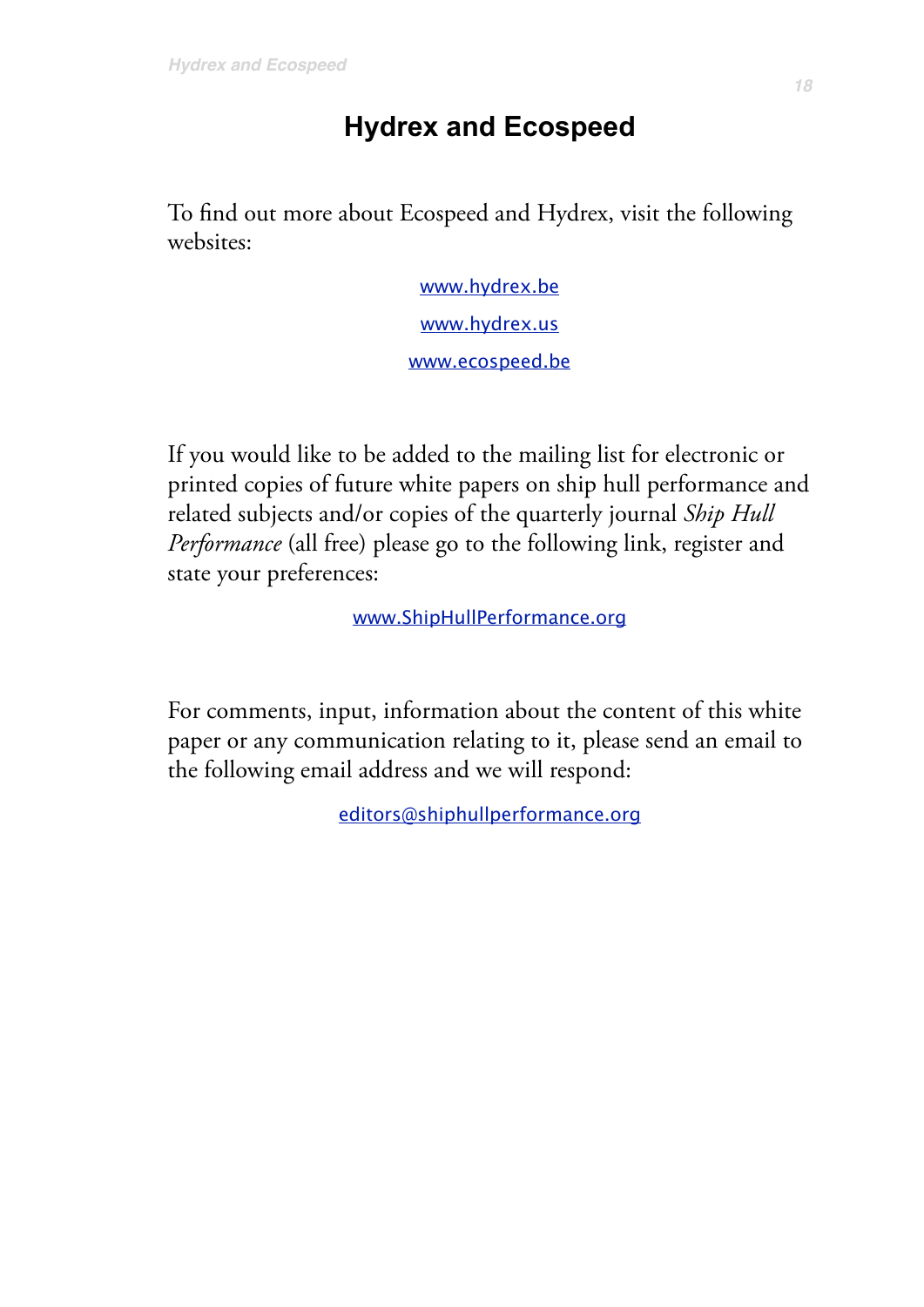# **Hydrex and Ecospeed**

To find out more about Ecospeed and Hydrex, visit the following websites:

> [www.hydrex.be](http://www.hydrex.be) [www.hydrex.us](http://www.hydrex.us) [www.ecospeed.be](http://www.ecospeed.be)

If you would like to be added to the mailing list for electronic or printed copies of future white papers on ship hull performance and related subjects and/or copies of the quarterly journal *Ship Hull Performance* (all free) please go to the following link, register and state your preferences:

[www.ShipHullPerformance.org](http://www.ShipHullPerformance.org)

For comments, input, information about the content of this white paper or any communication relating to it, please send an email to the following email address and we will respond:

[editors@shiphullperformance.org](mailto:editors@shiphullperformance.org)